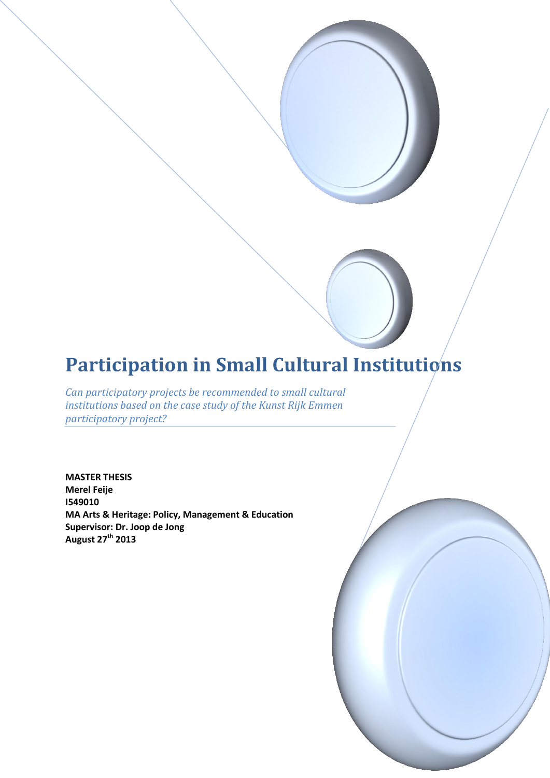# **Participation in Small Cultural Institutions**

*Can participatory projects be recommended to small cultural institutions based on the case study of the Kunst Rijk Emmen participatory project?*

**MASTER THESIS Merel Feije I549010 MA Arts & Heritage: Policy, Management & Education Supervisor: Dr. Joop de Jong August 27th 2013**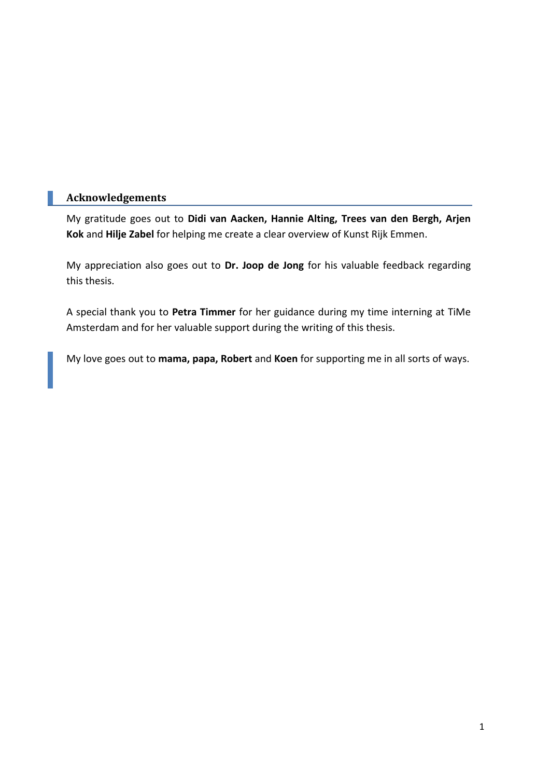# **Acknowledgements**

My gratitude goes out to **Didi van Aacken, Hannie Alting, Trees van den Bergh, Arjen Kok** and **Hilje Zabel** for helping me create a clear overview of Kunst Rijk Emmen.

My appreciation also goes out to **Dr. Joop de Jong** for his valuable feedback regarding this thesis.

A special thank you to **Petra Timmer** for her guidance during my time interning at TiMe Amsterdam and for her valuable support during the writing of this thesis.

My love goes out to **mama, papa, Robert** and **Koen** for supporting me in all sorts of ways.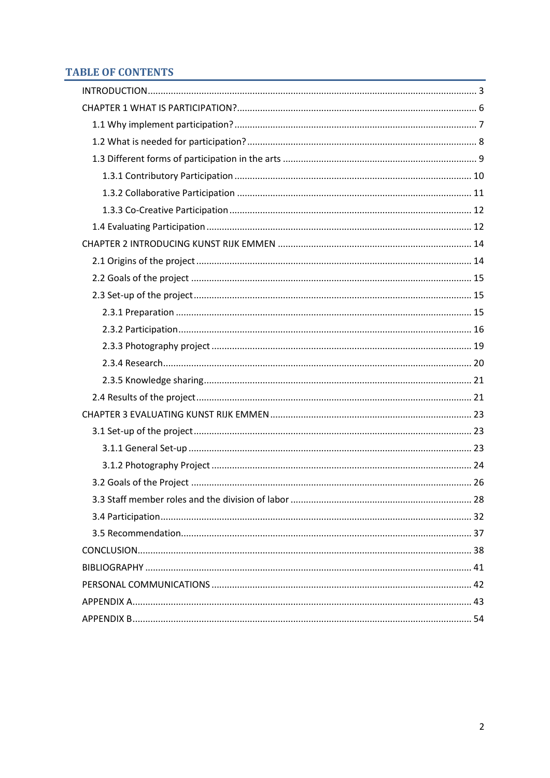# **TABLE OF CONTENTS**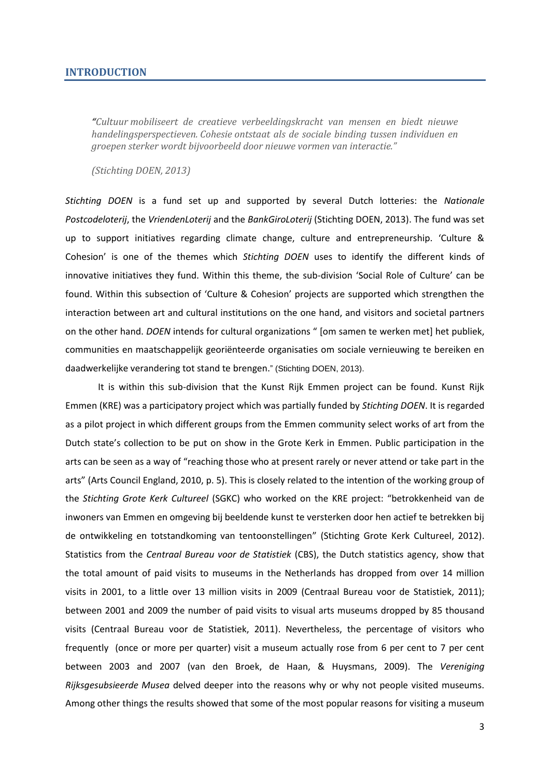#### <span id="page-3-0"></span>**INTRODUCTION**

*"Cultuur mobiliseert de creatieve verbeeldingskracht van mensen en biedt nieuwe handelingsperspectieven. Cohesie ontstaat als de sociale binding tussen individuen en groepen sterker wordt bijvoorbeeld door nieuwe vormen van interactie."*

*(Stichting DOEN, 2013)*

*Stichting DOEN* is a fund set up and supported by several Dutch lotteries: the *Nationale Postcodeloterij*, the *VriendenLoterij* and the *BankGiroLoterij* (Stichting DOEN, 2013). The fund was set up to support initiatives regarding climate change, culture and entrepreneurship. 'Culture & Cohesion' is one of the themes which *Stichting DOEN* uses to identify the different kinds of innovative initiatives they fund. Within this theme, the sub-division 'Social Role of Culture' can be found. Within this subsection of 'Culture & Cohesion' projects are supported which strengthen the interaction between art and cultural institutions on the one hand, and visitors and societal partners on the other hand. *DOEN* intends for cultural organizations " [om samen te werken met] het publiek, communities en maatschappelijk georiënteerde organisaties om sociale vernieuwing te bereiken en daadwerkelijke verandering tot stand te brengen." (Stichting DOEN, 2013).

It is within this sub-division that the Kunst Rijk Emmen project can be found. Kunst Rijk Emmen (KRE) was a participatory project which was partially funded by *Stichting DOEN*. It is regarded as a pilot project in which different groups from the Emmen community select works of art from the Dutch state's collection to be put on show in the Grote Kerk in Emmen. Public participation in the arts can be seen as a way of "reaching those who at present rarely or never attend or take part in the arts" (Arts Council England, 2010, p. 5). This is closely related to the intention of the working group of the *Stichting Grote Kerk Cultureel* (SGKC) who worked on the KRE project: "betrokkenheid van de inwoners van Emmen en omgeving bij beeldende kunst te versterken door hen actief te betrekken bij de ontwikkeling en totstandkoming van tentoonstellingen" (Stichting Grote Kerk Cultureel, 2012). Statistics from the *Centraal Bureau voor de Statistiek* (CBS), the Dutch statistics agency, show that the total amount of paid visits to museums in the Netherlands has dropped from over 14 million visits in 2001, to a little over 13 million visits in 2009 (Centraal Bureau voor de Statistiek, 2011); between 2001 and 2009 the number of paid visits to visual arts museums dropped by 85 thousand visits (Centraal Bureau voor de Statistiek, 2011). Nevertheless, the percentage of visitors who frequently (once or more per quarter) visit a museum actually rose from 6 per cent to 7 per cent between 2003 and 2007 (van den Broek, de Haan, & Huysmans, 2009). The *Vereniging Rijksgesubsieerde Musea* delved deeper into the reasons why or why not people visited museums. Among other things the results showed that some of the most popular reasons for visiting a museum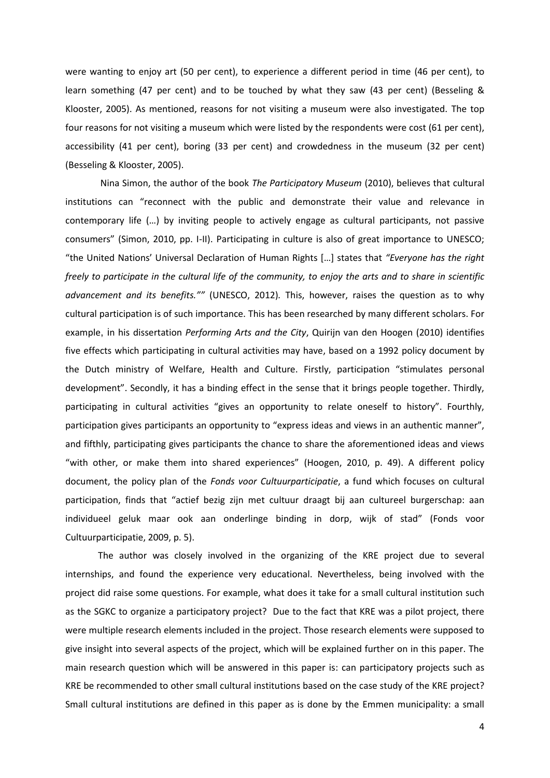were wanting to enjoy art (50 per cent), to experience a different period in time (46 per cent), to learn something (47 per cent) and to be touched by what they saw (43 per cent) (Besseling & Klooster, 2005). As mentioned, reasons for not visiting a museum were also investigated. The top four reasons for not visiting a museum which were listed by the respondents were cost (61 per cent), accessibility (41 per cent), boring (33 per cent) and crowdedness in the museum (32 per cent) (Besseling & Klooster, 2005).

Nina Simon, the author of the book *The Participatory Museum* (2010), believes that cultural institutions can "reconnect with the public and demonstrate their value and relevance in contemporary life (…) by inviting people to actively engage as cultural participants, not passive consumers" (Simon, 2010, pp. I-II). Participating in culture is also of great importance to UNESCO; "the United Nations' Universal Declaration of Human Rights […] states that *"Everyone has the right freely to participate in the cultural life of the community, to enjoy the arts and to share in scientific advancement and its benefits.""* (UNESCO, 2012)*.* This, however, raises the question as to why cultural participation is of such importance. This has been researched by many different scholars. For example, in his dissertation *Performing Arts and the City*, Quirijn van den Hoogen (2010) identifies five effects which participating in cultural activities may have, based on a 1992 policy document by the Dutch ministry of Welfare, Health and Culture. Firstly, participation "stimulates personal development". Secondly, it has a binding effect in the sense that it brings people together. Thirdly, participating in cultural activities "gives an opportunity to relate oneself to history". Fourthly, participation gives participants an opportunity to "express ideas and views in an authentic manner", and fifthly, participating gives participants the chance to share the aforementioned ideas and views "with other, or make them into shared experiences" (Hoogen, 2010, p. 49). A different policy document, the policy plan of the *Fonds voor Cultuurparticipatie*, a fund which focuses on cultural participation, finds that "actief bezig zijn met cultuur draagt bij aan cultureel burgerschap: aan individueel geluk maar ook aan onderlinge binding in dorp, wijk of stad" (Fonds voor Cultuurparticipatie, 2009, p. 5).

The author was closely involved in the organizing of the KRE project due to several internships, and found the experience very educational. Nevertheless, being involved with the project did raise some questions. For example, what does it take for a small cultural institution such as the SGKC to organize a participatory project? Due to the fact that KRE was a pilot project, there were multiple research elements included in the project. Those research elements were supposed to give insight into several aspects of the project, which will be explained further on in this paper. The main research question which will be answered in this paper is: can participatory projects such as KRE be recommended to other small cultural institutions based on the case study of the KRE project? Small cultural institutions are defined in this paper as is done by the Emmen municipality: a small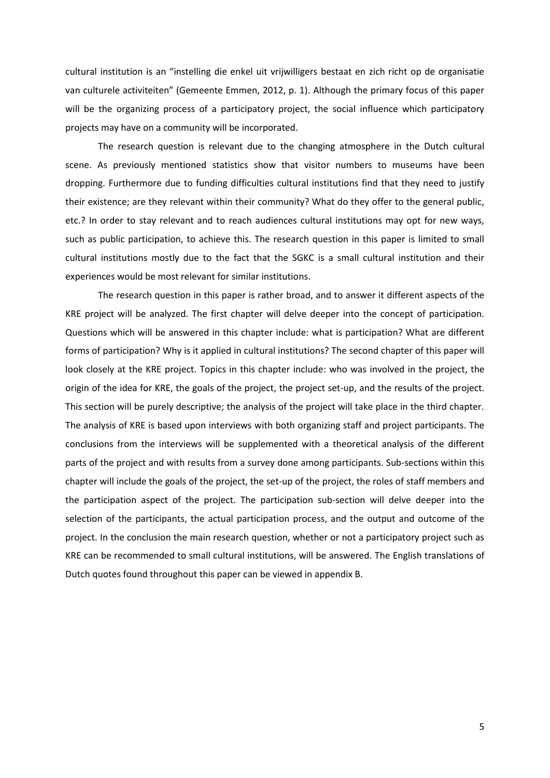cultural institution is an "instelling die enkel uit vrijwilligers bestaat en zich richt op de organisatie van culturele activiteiten" (Gemeente Emmen, 2012, p. 1). Although the primary focus of this paper will be the organizing process of a participatory project, the social influence which participatory projects may have on a community will be incorporated.

The research question is relevant due to the changing atmosphere in the Dutch cultural scene. As previously mentioned statistics show that visitor numbers to museums have been dropping. Furthermore due to funding difficulties cultural institutions find that they need to justify their existence; are they relevant within their community? What do they offer to the general public, etc.? In order to stay relevant and to reach audiences cultural institutions may opt for new ways, such as public participation, to achieve this. The research question in this paper is limited to small cultural institutions mostly due to the fact that the SGKC is a small cultural institution and their experiences would be most relevant for similar institutions.

The research question in this paper is rather broad, and to answer it different aspects of the KRE project will be analyzed. The first chapter will delve deeper into the concept of participation. Questions which will be answered in this chapter include: what is participation? What are different forms of participation? Why is it applied in cultural institutions? The second chapter of this paper will look closely at the KRE project. Topics in this chapter include: who was involved in the project, the origin of the idea for KRE, the goals of the project, the project set-up, and the results of the project. This section will be purely descriptive; the analysis of the project will take place in the third chapter. The analysis of KRE is based upon interviews with both organizing staff and project participants. The conclusions from the interviews will be supplemented with a theoretical analysis of the different parts of the project and with results from a survey done among participants. Sub-sections within this chapter will include the goals of the project, the set-up of the project, the roles of staff members and the participation aspect of the project. The participation sub-section will delve deeper into the selection of the participants, the actual participation process, and the output and outcome of the project. In the conclusion the main research question, whether or not a participatory project such as KRE can be recommended to small cultural institutions, will be answered. The English translations of Dutch quotes found throughout this paper can be viewed in appendix B.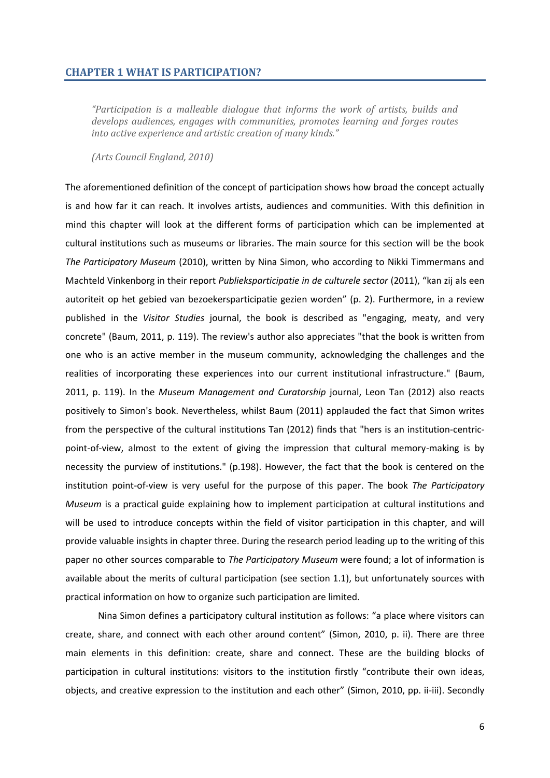## <span id="page-6-0"></span>**CHAPTER 1 WHAT IS PARTICIPATION?**

*"Participation is a malleable dialogue that informs the work of artists, builds and develops audiences, engages with communities, promotes learning and forges routes into active experience and artistic creation of many kinds."*

*(Arts Council England, 2010)*

The aforementioned definition of the concept of participation shows how broad the concept actually is and how far it can reach. It involves artists, audiences and communities. With this definition in mind this chapter will look at the different forms of participation which can be implemented at cultural institutions such as museums or libraries. The main source for this section will be the book *The Participatory Museum* (2010), written by Nina Simon, who according to Nikki Timmermans and Machteld Vinkenborg in their report *Publieksparticipatie in de culturele sector* (2011), "kan zij als een autoriteit op het gebied van bezoekersparticipatie gezien worden" (p. 2). Furthermore, in a review published in the *Visitor Studies* journal, the book is described as "engaging, meaty, and very concrete" (Baum, 2011, p. 119). The review's author also appreciates "that the book is written from one who is an active member in the museum community, acknowledging the challenges and the realities of incorporating these experiences into our current institutional infrastructure." (Baum, 2011, p. 119). In the *Museum Management and Curatorship* journal, Leon Tan (2012) also reacts positively to Simon's book. Nevertheless, whilst Baum (2011) applauded the fact that Simon writes from the perspective of the cultural institutions Tan (2012) finds that "hers is an institution-centricpoint-of-view, almost to the extent of giving the impression that cultural memory-making is by necessity the purview of institutions." (p.198). However, the fact that the book is centered on the institution point-of-view is very useful for the purpose of this paper. The book *The Participatory Museum* is a practical guide explaining how to implement participation at cultural institutions and will be used to introduce concepts within the field of visitor participation in this chapter, and will provide valuable insights in chapter three. During the research period leading up to the writing of this paper no other sources comparable to *The Participatory Museum* were found; a lot of information is available about the merits of cultural participation (see section 1.1), but unfortunately sources with practical information on how to organize such participation are limited.

Nina Simon defines a participatory cultural institution as follows: "a place where visitors can create, share, and connect with each other around content" (Simon, 2010, p. ii). There are three main elements in this definition: create, share and connect. These are the building blocks of participation in cultural institutions: visitors to the institution firstly "contribute their own ideas, objects, and creative expression to the institution and each other" (Simon, 2010, pp. ii-iii). Secondly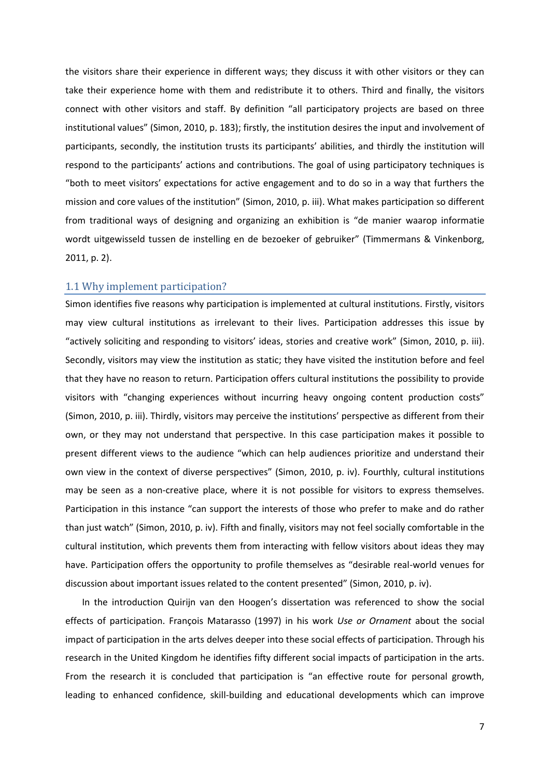the visitors share their experience in different ways; they discuss it with other visitors or they can take their experience home with them and redistribute it to others. Third and finally, the visitors connect with other visitors and staff. By definition "all participatory projects are based on three institutional values" (Simon, 2010, p. 183); firstly, the institution desires the input and involvement of participants, secondly, the institution trusts its participants' abilities, and thirdly the institution will respond to the participants' actions and contributions. The goal of using participatory techniques is "both to meet visitors' expectations for active engagement and to do so in a way that furthers the mission and core values of the institution" (Simon, 2010, p. iii). What makes participation so different from traditional ways of designing and organizing an exhibition is "de manier waarop informatie wordt uitgewisseld tussen de instelling en de bezoeker of gebruiker" (Timmermans & Vinkenborg, 2011, p. 2).

#### <span id="page-7-0"></span>1.1 Why implement participation?

Simon identifies five reasons why participation is implemented at cultural institutions. Firstly, visitors may view cultural institutions as irrelevant to their lives. Participation addresses this issue by "actively soliciting and responding to visitors' ideas, stories and creative work" (Simon, 2010, p. iii). Secondly, visitors may view the institution as static; they have visited the institution before and feel that they have no reason to return. Participation offers cultural institutions the possibility to provide visitors with "changing experiences without incurring heavy ongoing content production costs" (Simon, 2010, p. iii). Thirdly, visitors may perceive the institutions' perspective as different from their own, or they may not understand that perspective. In this case participation makes it possible to present different views to the audience "which can help audiences prioritize and understand their own view in the context of diverse perspectives" (Simon, 2010, p. iv). Fourthly, cultural institutions may be seen as a non-creative place, where it is not possible for visitors to express themselves. Participation in this instance "can support the interests of those who prefer to make and do rather than just watch" (Simon, 2010, p. iv). Fifth and finally, visitors may not feel socially comfortable in the cultural institution, which prevents them from interacting with fellow visitors about ideas they may have. Participation offers the opportunity to profile themselves as "desirable real-world venues for discussion about important issues related to the content presented" (Simon, 2010, p. iv).

In the introduction Quirijn van den Hoogen's dissertation was referenced to show the social effects of participation. François Matarasso (1997) in his work *Use or Ornament* about the social impact of participation in the arts delves deeper into these social effects of participation. Through his research in the United Kingdom he identifies fifty different social impacts of participation in the arts. From the research it is concluded that participation is "an effective route for personal growth, leading to enhanced confidence, skill-building and educational developments which can improve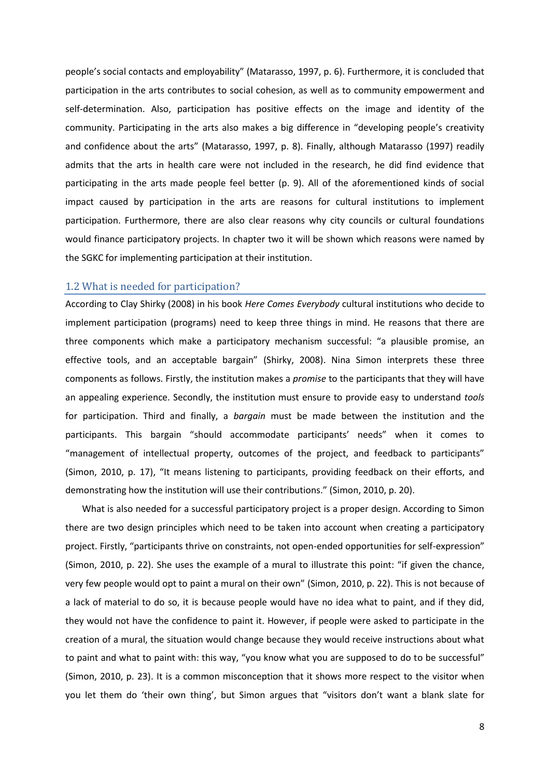people's social contacts and employability" (Matarasso, 1997, p. 6). Furthermore, it is concluded that participation in the arts contributes to social cohesion, as well as to community empowerment and self-determination. Also, participation has positive effects on the image and identity of the community. Participating in the arts also makes a big difference in "developing people's creativity and confidence about the arts" (Matarasso, 1997, p. 8). Finally, although Matarasso (1997) readily admits that the arts in health care were not included in the research, he did find evidence that participating in the arts made people feel better (p. 9). All of the aforementioned kinds of social impact caused by participation in the arts are reasons for cultural institutions to implement participation. Furthermore, there are also clear reasons why city councils or cultural foundations would finance participatory projects. In chapter two it will be shown which reasons were named by the SGKC for implementing participation at their institution.

#### <span id="page-8-0"></span>1.2 What is needed for participation?

According to Clay Shirky (2008) in his book *Here Comes Everybody* cultural institutions who decide to implement participation (programs) need to keep three things in mind. He reasons that there are three components which make a participatory mechanism successful: "a plausible promise, an effective tools, and an acceptable bargain" (Shirky, 2008). Nina Simon interprets these three components as follows. Firstly, the institution makes a *promise* to the participants that they will have an appealing experience. Secondly, the institution must ensure to provide easy to understand *tools* for participation. Third and finally, a *bargain* must be made between the institution and the participants. This bargain "should accommodate participants' needs" when it comes to "management of intellectual property, outcomes of the project, and feedback to participants" (Simon, 2010, p. 17), "It means listening to participants, providing feedback on their efforts, and demonstrating how the institution will use their contributions." (Simon, 2010, p. 20).

What is also needed for a successful participatory project is a proper design. According to Simon there are two design principles which need to be taken into account when creating a participatory project. Firstly, "participants thrive on constraints, not open-ended opportunities for self-expression" (Simon, 2010, p. 22). She uses the example of a mural to illustrate this point: "if given the chance, very few people would opt to paint a mural on their own" (Simon, 2010, p. 22). This is not because of a lack of material to do so, it is because people would have no idea what to paint, and if they did, they would not have the confidence to paint it. However, if people were asked to participate in the creation of a mural, the situation would change because they would receive instructions about what to paint and what to paint with: this way, "you know what you are supposed to do to be successful" (Simon, 2010, p. 23). It is a common misconception that it shows more respect to the visitor when you let them do 'their own thing', but Simon argues that "visitors don't want a blank slate for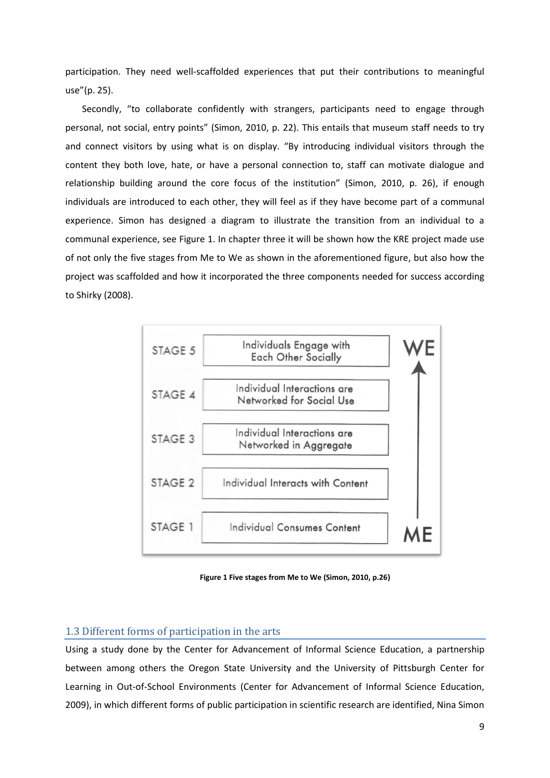participation. They need well-scaffolded experiences that put their contributions to meaningful use"(p. 25).

Secondly, "to collaborate confidently with strangers, participants need to engage through personal, not social, entry points" (Simon, 2010, p. 22). This entails that museum staff needs to try and connect visitors by using what is on display. "By introducing individual visitors through the content they both love, hate, or have a personal connection to, staff can motivate dialogue and relationship building around the core focus of the institution" (Simon, 2010, p. 26), if enough individuals are introduced to each other, they will feel as if they have become part of a communal experience. Simon has designed a diagram to illustrate the transition from an individual to a communal experience, see Figure 1. In chapter three it will be shown how the KRE project made use of not only the five stages from Me to We as shown in the aforementioned figure, but also how the project was scaffolded and how it incorporated the three components needed for success according to Shirky (2008).



**Figure 1 Five stages from Me to We (Simon, 2010, p.26)**

## <span id="page-9-0"></span>1.3 Different forms of participation in the arts

Using a study done by the Center for Advancement of Informal Science Education, a partnership between among others the Oregon State University and the University of Pittsburgh Center for Learning in Out-of-School Environments (Center for Advancement of Informal Science Education, 2009), in which different forms of public participation in scientific research are identified, Nina Simon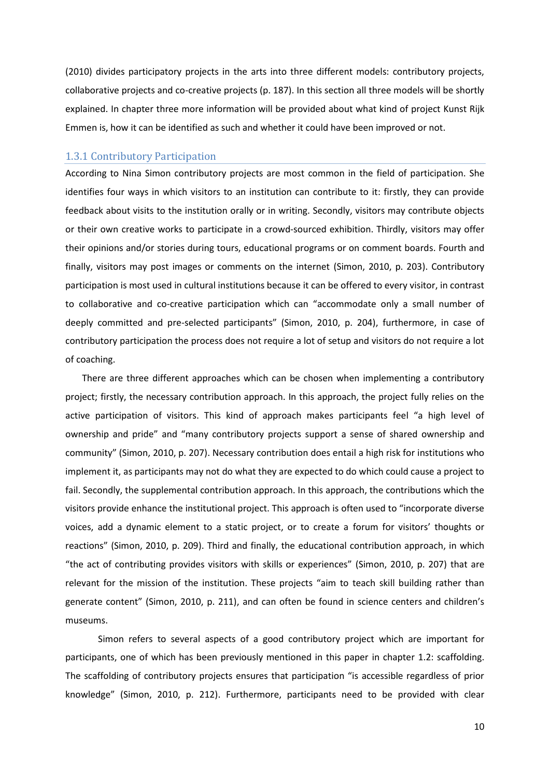(2010) divides participatory projects in the arts into three different models: contributory projects, collaborative projects and co-creative projects (p. 187). In this section all three models will be shortly explained. In chapter three more information will be provided about what kind of project Kunst Rijk Emmen is, how it can be identified as such and whether it could have been improved or not.

## <span id="page-10-0"></span>1.3.1 Contributory Participation

According to Nina Simon contributory projects are most common in the field of participation. She identifies four ways in which visitors to an institution can contribute to it: firstly, they can provide feedback about visits to the institution orally or in writing. Secondly, visitors may contribute objects or their own creative works to participate in a crowd-sourced exhibition. Thirdly, visitors may offer their opinions and/or stories during tours, educational programs or on comment boards. Fourth and finally, visitors may post images or comments on the internet (Simon, 2010, p. 203). Contributory participation is most used in cultural institutions because it can be offered to every visitor, in contrast to collaborative and co-creative participation which can "accommodate only a small number of deeply committed and pre-selected participants" (Simon, 2010, p. 204), furthermore, in case of contributory participation the process does not require a lot of setup and visitors do not require a lot of coaching.

There are three different approaches which can be chosen when implementing a contributory project; firstly, the necessary contribution approach. In this approach, the project fully relies on the active participation of visitors. This kind of approach makes participants feel "a high level of ownership and pride" and "many contributory projects support a sense of shared ownership and community" (Simon, 2010, p. 207). Necessary contribution does entail a high risk for institutions who implement it, as participants may not do what they are expected to do which could cause a project to fail. Secondly, the supplemental contribution approach. In this approach, the contributions which the visitors provide enhance the institutional project. This approach is often used to "incorporate diverse voices, add a dynamic element to a static project, or to create a forum for visitors' thoughts or reactions" (Simon, 2010, p. 209). Third and finally, the educational contribution approach, in which "the act of contributing provides visitors with skills or experiences" (Simon, 2010, p. 207) that are relevant for the mission of the institution. These projects "aim to teach skill building rather than generate content" (Simon, 2010, p. 211), and can often be found in science centers and children's museums.

Simon refers to several aspects of a good contributory project which are important for participants, one of which has been previously mentioned in this paper in chapter 1.2: scaffolding. The scaffolding of contributory projects ensures that participation "is accessible regardless of prior knowledge" (Simon, 2010, p. 212). Furthermore, participants need to be provided with clear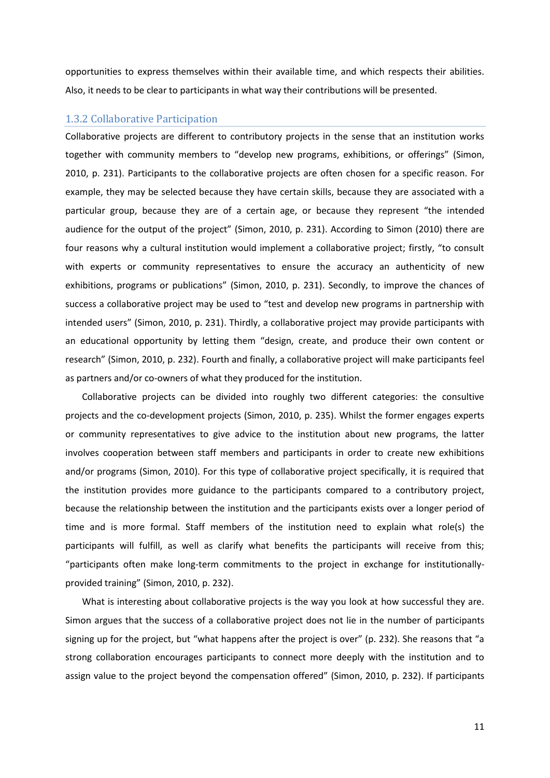opportunities to express themselves within their available time, and which respects their abilities. Also, it needs to be clear to participants in what way their contributions will be presented.

## <span id="page-11-0"></span>1.3.2 Collaborative Participation

Collaborative projects are different to contributory projects in the sense that an institution works together with community members to "develop new programs, exhibitions, or offerings" (Simon, 2010, p. 231). Participants to the collaborative projects are often chosen for a specific reason. For example, they may be selected because they have certain skills, because they are associated with a particular group, because they are of a certain age, or because they represent "the intended audience for the output of the project" (Simon, 2010, p. 231). According to Simon (2010) there are four reasons why a cultural institution would implement a collaborative project; firstly, "to consult with experts or community representatives to ensure the accuracy an authenticity of new exhibitions, programs or publications" (Simon, 2010, p. 231). Secondly, to improve the chances of success a collaborative project may be used to "test and develop new programs in partnership with intended users" (Simon, 2010, p. 231). Thirdly, a collaborative project may provide participants with an educational opportunity by letting them "design, create, and produce their own content or research" (Simon, 2010, p. 232). Fourth and finally, a collaborative project will make participants feel as partners and/or co-owners of what they produced for the institution.

Collaborative projects can be divided into roughly two different categories: the consultive projects and the co-development projects (Simon, 2010, p. 235). Whilst the former engages experts or community representatives to give advice to the institution about new programs, the latter involves cooperation between staff members and participants in order to create new exhibitions and/or programs (Simon, 2010). For this type of collaborative project specifically, it is required that the institution provides more guidance to the participants compared to a contributory project, because the relationship between the institution and the participants exists over a longer period of time and is more formal. Staff members of the institution need to explain what role(s) the participants will fulfill, as well as clarify what benefits the participants will receive from this; "participants often make long-term commitments to the project in exchange for institutionallyprovided training" (Simon, 2010, p. 232).

What is interesting about collaborative projects is the way you look at how successful they are. Simon argues that the success of a collaborative project does not lie in the number of participants signing up for the project, but "what happens after the project is over" (p. 232). She reasons that "a strong collaboration encourages participants to connect more deeply with the institution and to assign value to the project beyond the compensation offered" (Simon, 2010, p. 232). If participants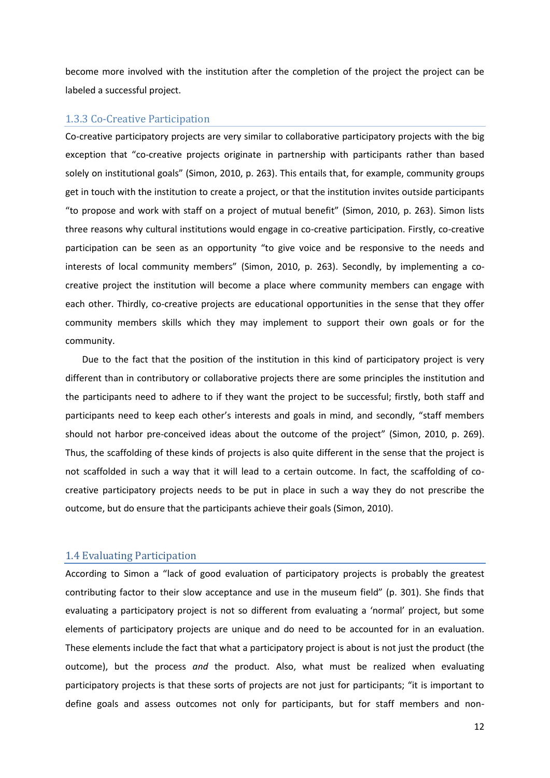become more involved with the institution after the completion of the project the project can be labeled a successful project.

## <span id="page-12-0"></span>1.3.3 Co-Creative Participation

Co-creative participatory projects are very similar to collaborative participatory projects with the big exception that "co-creative projects originate in partnership with participants rather than based solely on institutional goals" (Simon, 2010, p. 263). This entails that, for example, community groups get in touch with the institution to create a project, or that the institution invites outside participants "to propose and work with staff on a project of mutual benefit" (Simon, 2010, p. 263). Simon lists three reasons why cultural institutions would engage in co-creative participation. Firstly, co-creative participation can be seen as an opportunity "to give voice and be responsive to the needs and interests of local community members" (Simon, 2010, p. 263). Secondly, by implementing a cocreative project the institution will become a place where community members can engage with each other. Thirdly, co-creative projects are educational opportunities in the sense that they offer community members skills which they may implement to support their own goals or for the community.

Due to the fact that the position of the institution in this kind of participatory project is very different than in contributory or collaborative projects there are some principles the institution and the participants need to adhere to if they want the project to be successful; firstly, both staff and participants need to keep each other's interests and goals in mind, and secondly, "staff members should not harbor pre-conceived ideas about the outcome of the project" (Simon, 2010, p. 269). Thus, the scaffolding of these kinds of projects is also quite different in the sense that the project is not scaffolded in such a way that it will lead to a certain outcome. In fact, the scaffolding of cocreative participatory projects needs to be put in place in such a way they do not prescribe the outcome, but do ensure that the participants achieve their goals (Simon, 2010).

#### <span id="page-12-1"></span>1.4 Evaluating Participation

According to Simon a "lack of good evaluation of participatory projects is probably the greatest contributing factor to their slow acceptance and use in the museum field" (p. 301). She finds that evaluating a participatory project is not so different from evaluating a 'normal' project, but some elements of participatory projects are unique and do need to be accounted for in an evaluation. These elements include the fact that what a participatory project is about is not just the product (the outcome), but the process *and* the product. Also, what must be realized when evaluating participatory projects is that these sorts of projects are not just for participants; "it is important to define goals and assess outcomes not only for participants, but for staff members and non-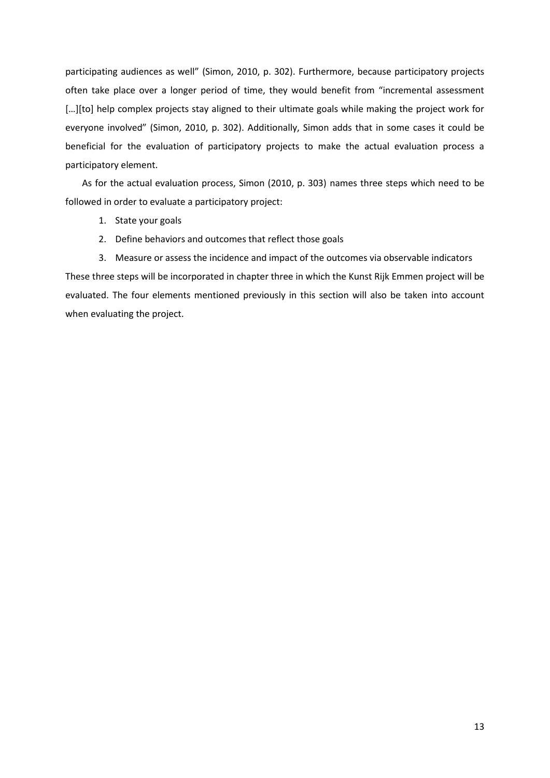participating audiences as well" (Simon, 2010, p. 302). Furthermore, because participatory projects often take place over a longer period of time, they would benefit from "incremental assessment [...][to] help complex projects stay aligned to their ultimate goals while making the project work for everyone involved" (Simon, 2010, p. 302). Additionally, Simon adds that in some cases it could be beneficial for the evaluation of participatory projects to make the actual evaluation process a participatory element.

As for the actual evaluation process, Simon (2010, p. 303) names three steps which need to be followed in order to evaluate a participatory project:

- 1. State your goals
- 2. Define behaviors and outcomes that reflect those goals

3. Measure or assess the incidence and impact of the outcomes via observable indicators These three steps will be incorporated in chapter three in which the Kunst Rijk Emmen project will be evaluated. The four elements mentioned previously in this section will also be taken into account when evaluating the project.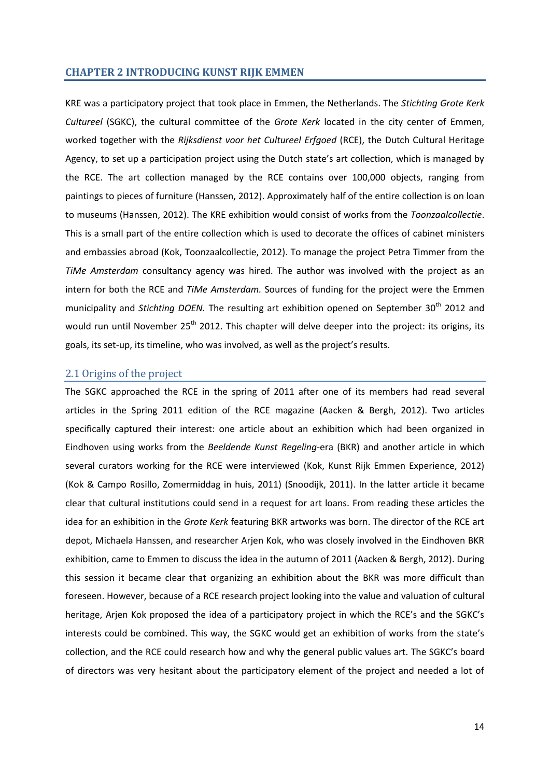#### <span id="page-14-0"></span>**CHAPTER 2 INTRODUCING KUNST RIJK EMMEN**

KRE was a participatory project that took place in Emmen, the Netherlands. The *Stichting Grote Kerk Cultureel* (SGKC), the cultural committee of the *Grote Kerk* located in the city center of Emmen, worked together with the *Rijksdienst voor het Cultureel Erfgoed* (RCE), the Dutch Cultural Heritage Agency, to set up a participation project using the Dutch state's art collection, which is managed by the RCE. The art collection managed by the RCE contains over 100,000 objects, ranging from paintings to pieces of furniture (Hanssen, 2012). Approximately half of the entire collection is on loan to museums (Hanssen, 2012). The KRE exhibition would consist of works from the *Toonzaalcollectie*. This is a small part of the entire collection which is used to decorate the offices of cabinet ministers and embassies abroad (Kok, Toonzaalcollectie, 2012). To manage the project Petra Timmer from the *TiMe Amsterdam* consultancy agency was hired. The author was involved with the project as an intern for both the RCE and *TiMe Amsterdam.* Sources of funding for the project were the Emmen municipality and *Stichting DOEN*. The resulting art exhibition opened on September 30<sup>th</sup> 2012 and would run until November 25<sup>th</sup> 2012. This chapter will delve deeper into the project: its origins, its goals, its set-up, its timeline, who was involved, as well as the project's results.

## <span id="page-14-1"></span>2.1 Origins of the project

The SGKC approached the RCE in the spring of 2011 after one of its members had read several articles in the Spring 2011 edition of the RCE magazine (Aacken & Bergh, 2012). Two articles specifically captured their interest: one article about an exhibition which had been organized in Eindhoven using works from the *Beeldende Kunst Regeling*-era (BKR) and another article in which several curators working for the RCE were interviewed (Kok, Kunst Rijk Emmen Experience, 2012) (Kok & Campo Rosillo, Zomermiddag in huis, 2011) (Snoodijk, 2011). In the latter article it became clear that cultural institutions could send in a request for art loans. From reading these articles the idea for an exhibition in the *Grote Kerk* featuring BKR artworks was born. The director of the RCE art depot, Michaela Hanssen, and researcher Arjen Kok, who was closely involved in the Eindhoven BKR exhibition, came to Emmen to discuss the idea in the autumn of 2011 (Aacken & Bergh, 2012). During this session it became clear that organizing an exhibition about the BKR was more difficult than foreseen. However, because of a RCE research project looking into the value and valuation of cultural heritage, Arjen Kok proposed the idea of a participatory project in which the RCE's and the SGKC's interests could be combined. This way, the SGKC would get an exhibition of works from the state's collection, and the RCE could research how and why the general public values art. The SGKC's board of directors was very hesitant about the participatory element of the project and needed a lot of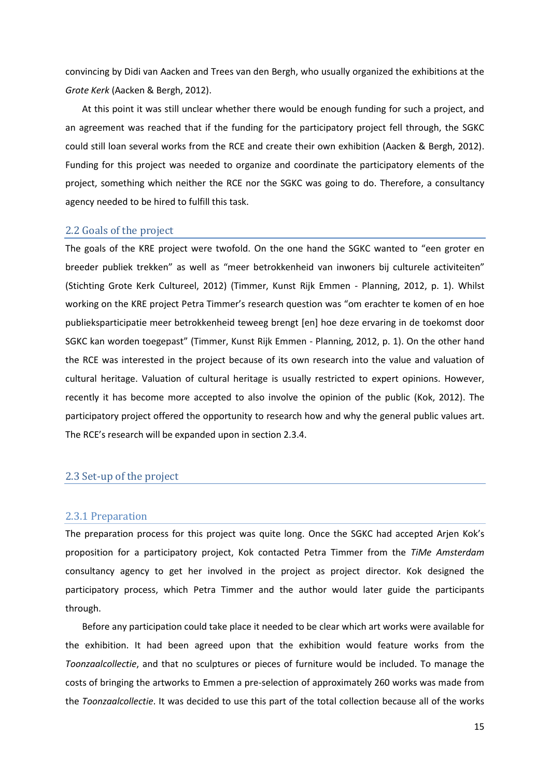convincing by Didi van Aacken and Trees van den Bergh, who usually organized the exhibitions at the *Grote Kerk* (Aacken & Bergh, 2012).

At this point it was still unclear whether there would be enough funding for such a project, and an agreement was reached that if the funding for the participatory project fell through, the SGKC could still loan several works from the RCE and create their own exhibition (Aacken & Bergh, 2012). Funding for this project was needed to organize and coordinate the participatory elements of the project, something which neither the RCE nor the SGKC was going to do. Therefore, a consultancy agency needed to be hired to fulfill this task.

#### <span id="page-15-0"></span>2.2 Goals of the project

The goals of the KRE project were twofold. On the one hand the SGKC wanted to "een groter en breeder publiek trekken" as well as "meer betrokkenheid van inwoners bij culturele activiteiten" (Stichting Grote Kerk Cultureel, 2012) (Timmer, Kunst Rijk Emmen - Planning, 2012, p. 1). Whilst working on the KRE project Petra Timmer's research question was "om erachter te komen of en hoe publieksparticipatie meer betrokkenheid teweeg brengt [en] hoe deze ervaring in de toekomst door SGKC kan worden toegepast" (Timmer, Kunst Rijk Emmen - Planning, 2012, p. 1). On the other hand the RCE was interested in the project because of its own research into the value and valuation of cultural heritage. Valuation of cultural heritage is usually restricted to expert opinions. However, recently it has become more accepted to also involve the opinion of the public (Kok, 2012). The participatory project offered the opportunity to research how and why the general public values art. The RCE's research will be expanded upon in section 2.3.4.

## <span id="page-15-1"></span>2.3 Set-up of the project

#### <span id="page-15-2"></span>2.3.1 Preparation

The preparation process for this project was quite long. Once the SGKC had accepted Arjen Kok's proposition for a participatory project, Kok contacted Petra Timmer from the *TiMe Amsterdam* consultancy agency to get her involved in the project as project director. Kok designed the participatory process, which Petra Timmer and the author would later guide the participants through.

Before any participation could take place it needed to be clear which art works were available for the exhibition. It had been agreed upon that the exhibition would feature works from the *Toonzaalcollectie*, and that no sculptures or pieces of furniture would be included. To manage the costs of bringing the artworks to Emmen a pre-selection of approximately 260 works was made from the *Toonzaalcollectie*. It was decided to use this part of the total collection because all of the works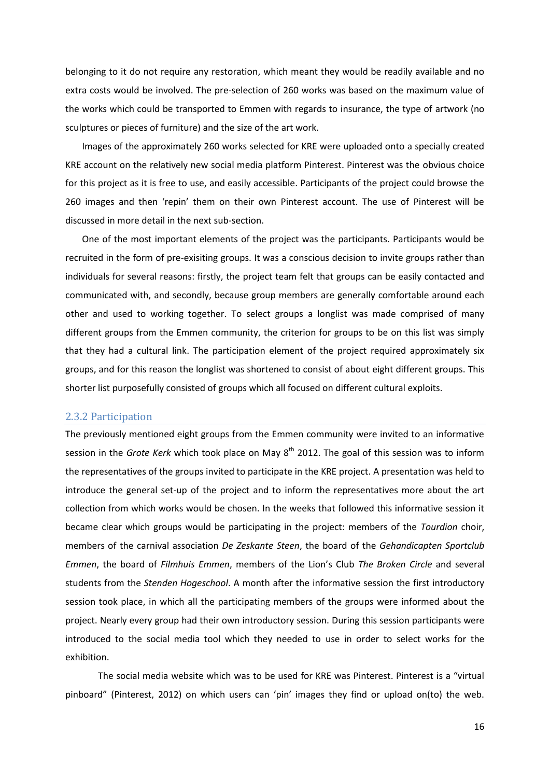belonging to it do not require any restoration, which meant they would be readily available and no extra costs would be involved. The pre-selection of 260 works was based on the maximum value of the works which could be transported to Emmen with regards to insurance, the type of artwork (no sculptures or pieces of furniture) and the size of the art work.

Images of the approximately 260 works selected for KRE were uploaded onto a specially created KRE account on the relatively new social media platform Pinterest. Pinterest was the obvious choice for this project as it is free to use, and easily accessible. Participants of the project could browse the 260 images and then 'repin' them on their own Pinterest account. The use of Pinterest will be discussed in more detail in the next sub-section.

One of the most important elements of the project was the participants. Participants would be recruited in the form of pre-exisiting groups. It was a conscious decision to invite groups rather than individuals for several reasons: firstly, the project team felt that groups can be easily contacted and communicated with, and secondly, because group members are generally comfortable around each other and used to working together. To select groups a longlist was made comprised of many different groups from the Emmen community, the criterion for groups to be on this list was simply that they had a cultural link. The participation element of the project required approximately six groups, and for this reason the longlist was shortened to consist of about eight different groups. This shorter list purposefully consisted of groups which all focused on different cultural exploits.

#### <span id="page-16-0"></span>2.3.2 Participation

The previously mentioned eight groups from the Emmen community were invited to an informative session in the *Grote Kerk* which took place on May 8<sup>th</sup> 2012. The goal of this session was to inform the representatives of the groups invited to participate in the KRE project. A presentation was held to introduce the general set-up of the project and to inform the representatives more about the art collection from which works would be chosen. In the weeks that followed this informative session it became clear which groups would be participating in the project: members of the *Tourdion* choir, members of the carnival association *De Zeskante Steen*, the board of the *Gehandicapten Sportclub Emmen*, the board of *Filmhuis Emmen*, members of the Lion's Club *The Broken Circle* and several students from the *Stenden Hogeschool*. A month after the informative session the first introductory session took place, in which all the participating members of the groups were informed about the project. Nearly every group had their own introductory session. During this session participants were introduced to the social media tool which they needed to use in order to select works for the exhibition.

The social media website which was to be used for KRE was Pinterest. Pinterest is a "virtual pinboard" (Pinterest, 2012) on which users can 'pin' images they find or upload on(to) the web.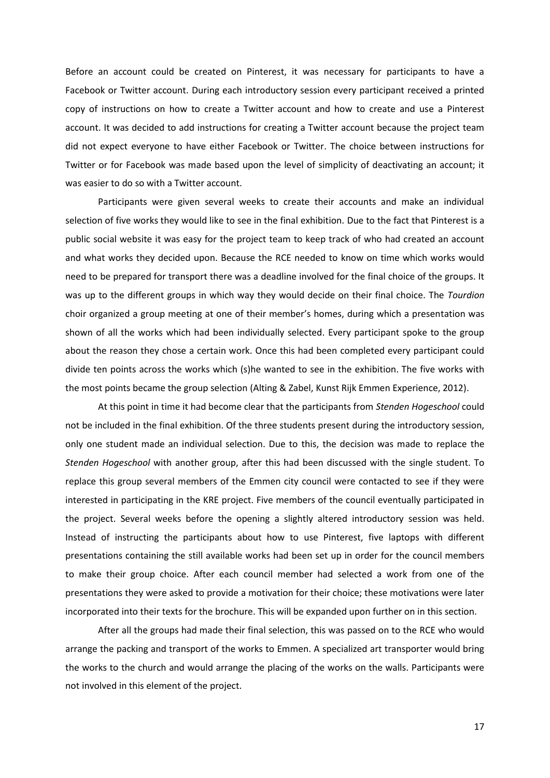Before an account could be created on Pinterest, it was necessary for participants to have a Facebook or Twitter account. During each introductory session every participant received a printed copy of instructions on how to create a Twitter account and how to create and use a Pinterest account. It was decided to add instructions for creating a Twitter account because the project team did not expect everyone to have either Facebook or Twitter. The choice between instructions for Twitter or for Facebook was made based upon the level of simplicity of deactivating an account; it was easier to do so with a Twitter account.

Participants were given several weeks to create their accounts and make an individual selection of five works they would like to see in the final exhibition. Due to the fact that Pinterest is a public social website it was easy for the project team to keep track of who had created an account and what works they decided upon. Because the RCE needed to know on time which works would need to be prepared for transport there was a deadline involved for the final choice of the groups. It was up to the different groups in which way they would decide on their final choice. The *Tourdion* choir organized a group meeting at one of their member's homes, during which a presentation was shown of all the works which had been individually selected. Every participant spoke to the group about the reason they chose a certain work. Once this had been completed every participant could divide ten points across the works which (s)he wanted to see in the exhibition. The five works with the most points became the group selection (Alting & Zabel, Kunst Rijk Emmen Experience, 2012).

At this point in time it had become clear that the participants from *Stenden Hogeschool* could not be included in the final exhibition. Of the three students present during the introductory session, only one student made an individual selection. Due to this, the decision was made to replace the *Stenden Hogeschool* with another group, after this had been discussed with the single student. To replace this group several members of the Emmen city council were contacted to see if they were interested in participating in the KRE project. Five members of the council eventually participated in the project. Several weeks before the opening a slightly altered introductory session was held. Instead of instructing the participants about how to use Pinterest, five laptops with different presentations containing the still available works had been set up in order for the council members to make their group choice. After each council member had selected a work from one of the presentations they were asked to provide a motivation for their choice; these motivations were later incorporated into their texts for the brochure. This will be expanded upon further on in this section.

After all the groups had made their final selection, this was passed on to the RCE who would arrange the packing and transport of the works to Emmen. A specialized art transporter would bring the works to the church and would arrange the placing of the works on the walls. Participants were not involved in this element of the project.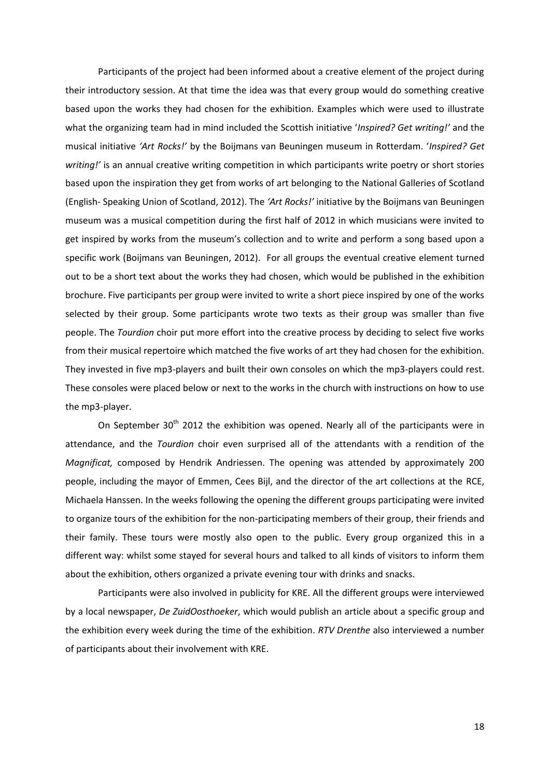Participants of the project had been informed about a creative element of the project during their introductory session. At that time the idea was that every group would do something creative based upon the works they had chosen for the exhibition. Examples which were used to illustrate what the organizing team had in mind included the Scottish initiative '*Inspired? Get writing!'* and the musical initiative *'Art Rocks!'* by the Boijmans van Beuningen museum in Rotterdam. '*Inspired? Get writing!'* is an annual creative writing competition in which participants write poetry or short stories based upon the inspiration they get from works of art belonging to the National Galleries of Scotland (English- Speaking Union of Scotland, 2012). The *'Art Rocks!'* initiative by the Boijmans van Beuningen museum was a musical competition during the first half of 2012 in which musicians were invited to get inspired by works from the museum's collection and to write and perform a song based upon a specific work (Boijmans van Beuningen, 2012). For all groups the eventual creative element turned out to be a short text about the works they had chosen, which would be published in the exhibition brochure. Five participants per group were invited to write a short piece inspired by one of the works selected by their group. Some participants wrote two texts as their group was smaller than five people. The *Tourdion* choir put more effort into the creative process by deciding to select five works from their musical repertoire which matched the five works of art they had chosen for the exhibition. They invested in five mp3-players and built their own consoles on which the mp3-players could rest. These consoles were placed below or next to the works in the church with instructions on how to use the mp3-player.

On September  $30<sup>th</sup>$  2012 the exhibition was opened. Nearly all of the participants were in attendance, and the *Tourdion* choir even surprised all of the attendants with a rendition of the *Magnificat,* composed by Hendrik Andriessen. The opening was attended by approximately 200 people, including the mayor of Emmen, Cees Bijl, and the director of the art collections at the RCE, Michaela Hanssen. In the weeks following the opening the different groups participating were invited to organize tours of the exhibition for the non-participating members of their group, their friends and their family. These tours were mostly also open to the public. Every group organized this in a different way: whilst some stayed for several hours and talked to all kinds of visitors to inform them about the exhibition, others organized a private evening tour with drinks and snacks.

Participants were also involved in publicity for KRE. All the different groups were interviewed by a local newspaper, *De ZuidOosthoeker*, which would publish an article about a specific group and the exhibition every week during the time of the exhibition. *RTV Drenthe* also interviewed a number of participants about their involvement with KRE.

18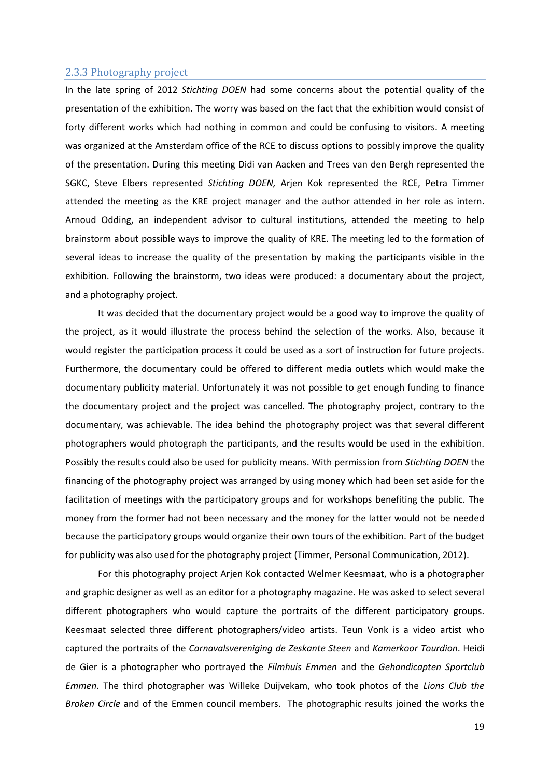## <span id="page-19-0"></span>2.3.3 Photography project

In the late spring of 2012 *Stichting DOEN* had some concerns about the potential quality of the presentation of the exhibition. The worry was based on the fact that the exhibition would consist of forty different works which had nothing in common and could be confusing to visitors. A meeting was organized at the Amsterdam office of the RCE to discuss options to possibly improve the quality of the presentation. During this meeting Didi van Aacken and Trees van den Bergh represented the SGKC, Steve Elbers represented *Stichting DOEN,* Arjen Kok represented the RCE, Petra Timmer attended the meeting as the KRE project manager and the author attended in her role as intern. Arnoud Odding, an independent advisor to cultural institutions, attended the meeting to help brainstorm about possible ways to improve the quality of KRE. The meeting led to the formation of several ideas to increase the quality of the presentation by making the participants visible in the exhibition. Following the brainstorm, two ideas were produced: a documentary about the project, and a photography project.

It was decided that the documentary project would be a good way to improve the quality of the project, as it would illustrate the process behind the selection of the works. Also, because it would register the participation process it could be used as a sort of instruction for future projects. Furthermore, the documentary could be offered to different media outlets which would make the documentary publicity material. Unfortunately it was not possible to get enough funding to finance the documentary project and the project was cancelled. The photography project, contrary to the documentary, was achievable. The idea behind the photography project was that several different photographers would photograph the participants, and the results would be used in the exhibition. Possibly the results could also be used for publicity means. With permission from *Stichting DOEN* the financing of the photography project was arranged by using money which had been set aside for the facilitation of meetings with the participatory groups and for workshops benefiting the public. The money from the former had not been necessary and the money for the latter would not be needed because the participatory groups would organize their own tours of the exhibition. Part of the budget for publicity was also used for the photography project (Timmer, Personal Communication, 2012).

For this photography project Arjen Kok contacted Welmer Keesmaat, who is a photographer and graphic designer as well as an editor for a photography magazine. He was asked to select several different photographers who would capture the portraits of the different participatory groups. Keesmaat selected three different photographers/video artists. Teun Vonk is a video artist who captured the portraits of the *Carnavalsvereniging de Zeskante Steen* and *Kamerkoor Tourdion*. Heidi de Gier is a photographer who portrayed the *Filmhuis Emmen* and the *Gehandicapten Sportclub Emmen*. The third photographer was Willeke Duijvekam, who took photos of the *Lions Club the Broken Circle* and of the Emmen council members. The photographic results joined the works the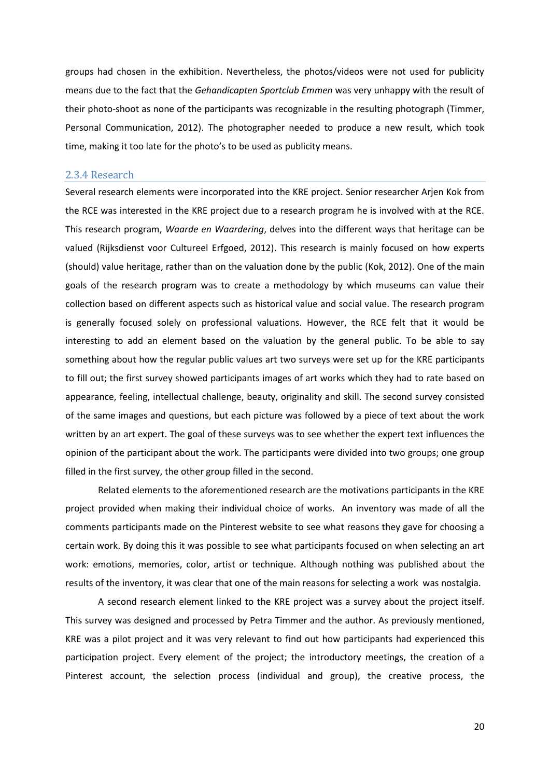groups had chosen in the exhibition. Nevertheless, the photos/videos were not used for publicity means due to the fact that the *Gehandicapten Sportclub Emmen* was very unhappy with the result of their photo-shoot as none of the participants was recognizable in the resulting photograph (Timmer, Personal Communication, 2012). The photographer needed to produce a new result, which took time, making it too late for the photo's to be used as publicity means.

#### <span id="page-20-0"></span>2.3.4 Research

Several research elements were incorporated into the KRE project. Senior researcher Arjen Kok from the RCE was interested in the KRE project due to a research program he is involved with at the RCE. This research program, *Waarde en Waardering*, delves into the different ways that heritage can be valued (Rijksdienst voor Cultureel Erfgoed, 2012). This research is mainly focused on how experts (should) value heritage, rather than on the valuation done by the public (Kok, 2012). One of the main goals of the research program was to create a methodology by which museums can value their collection based on different aspects such as historical value and social value. The research program is generally focused solely on professional valuations. However, the RCE felt that it would be interesting to add an element based on the valuation by the general public. To be able to say something about how the regular public values art two surveys were set up for the KRE participants to fill out; the first survey showed participants images of art works which they had to rate based on appearance, feeling, intellectual challenge, beauty, originality and skill. The second survey consisted of the same images and questions, but each picture was followed by a piece of text about the work written by an art expert. The goal of these surveys was to see whether the expert text influences the opinion of the participant about the work. The participants were divided into two groups; one group filled in the first survey, the other group filled in the second.

Related elements to the aforementioned research are the motivations participants in the KRE project provided when making their individual choice of works. An inventory was made of all the comments participants made on the Pinterest website to see what reasons they gave for choosing a certain work. By doing this it was possible to see what participants focused on when selecting an art work: emotions, memories, color, artist or technique. Although nothing was published about the results of the inventory, it was clear that one of the main reasons for selecting a work was nostalgia.

A second research element linked to the KRE project was a survey about the project itself. This survey was designed and processed by Petra Timmer and the author. As previously mentioned, KRE was a pilot project and it was very relevant to find out how participants had experienced this participation project. Every element of the project; the introductory meetings, the creation of a Pinterest account, the selection process (individual and group), the creative process, the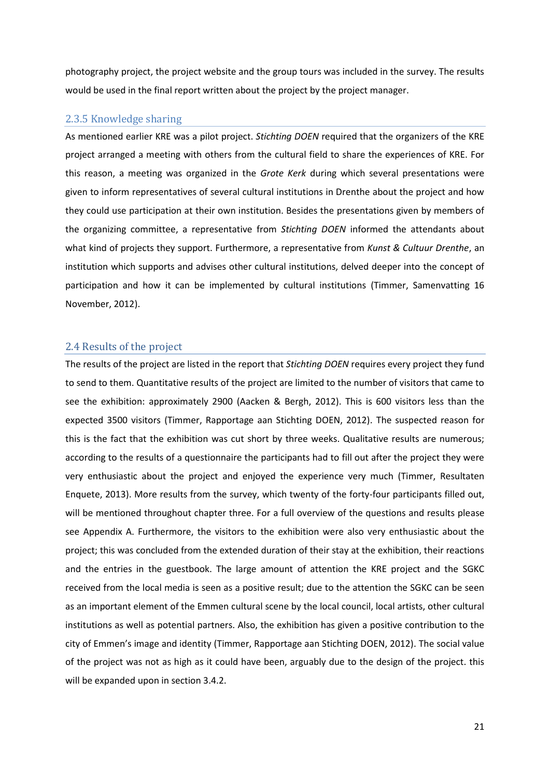photography project, the project website and the group tours was included in the survey. The results would be used in the final report written about the project by the project manager.

## <span id="page-21-0"></span>2.3.5 Knowledge sharing

As mentioned earlier KRE was a pilot project. *Stichting DOEN* required that the organizers of the KRE project arranged a meeting with others from the cultural field to share the experiences of KRE. For this reason, a meeting was organized in the *Grote Kerk* during which several presentations were given to inform representatives of several cultural institutions in Drenthe about the project and how they could use participation at their own institution. Besides the presentations given by members of the organizing committee, a representative from *Stichting DOEN* informed the attendants about what kind of projects they support. Furthermore, a representative from *Kunst & Cultuur Drenthe*, an institution which supports and advises other cultural institutions, delved deeper into the concept of participation and how it can be implemented by cultural institutions (Timmer, Samenvatting 16 November, 2012).

#### <span id="page-21-1"></span>2.4 Results of the project

The results of the project are listed in the report that *Stichting DOEN* requires every project they fund to send to them. Quantitative results of the project are limited to the number of visitors that came to see the exhibition: approximately 2900 (Aacken & Bergh, 2012). This is 600 visitors less than the expected 3500 visitors (Timmer, Rapportage aan Stichting DOEN, 2012). The suspected reason for this is the fact that the exhibition was cut short by three weeks. Qualitative results are numerous; according to the results of a questionnaire the participants had to fill out after the project they were very enthusiastic about the project and enjoyed the experience very much (Timmer, Resultaten Enquete, 2013). More results from the survey, which twenty of the forty-four participants filled out, will be mentioned throughout chapter three. For a full overview of the questions and results please see Appendix A. Furthermore, the visitors to the exhibition were also very enthusiastic about the project; this was concluded from the extended duration of their stay at the exhibition, their reactions and the entries in the guestbook. The large amount of attention the KRE project and the SGKC received from the local media is seen as a positive result; due to the attention the SGKC can be seen as an important element of the Emmen cultural scene by the local council, local artists, other cultural institutions as well as potential partners. Also, the exhibition has given a positive contribution to the city of Emmen's image and identity (Timmer, Rapportage aan Stichting DOEN, 2012). The social value of the project was not as high as it could have been, arguably due to the design of the project. this will be expanded upon in section 3.4.2.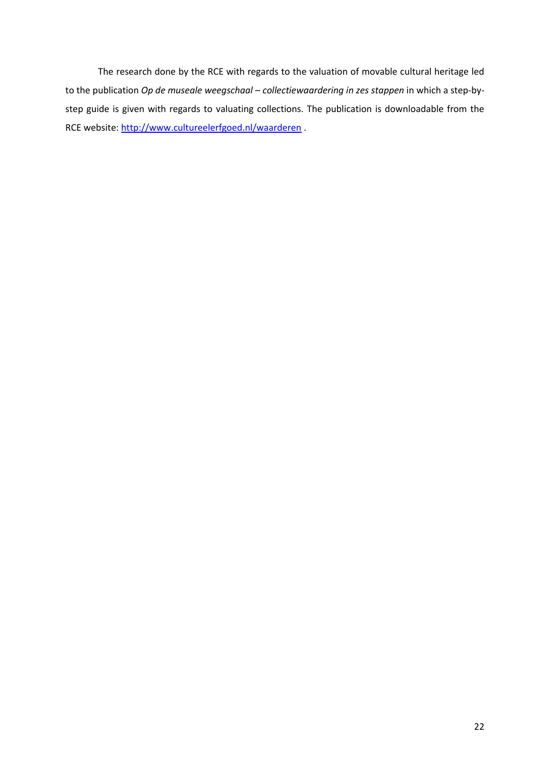The research done by the RCE with regards to the valuation of movable cultural heritage led to the publication *Op de museale weegschaal – collectiewaardering in zes stappen* in which a step-bystep guide is given with regards to valuating collections. The publication is downloadable from the RCE website:<http://www.cultureelerfgoed.nl/waarderen> .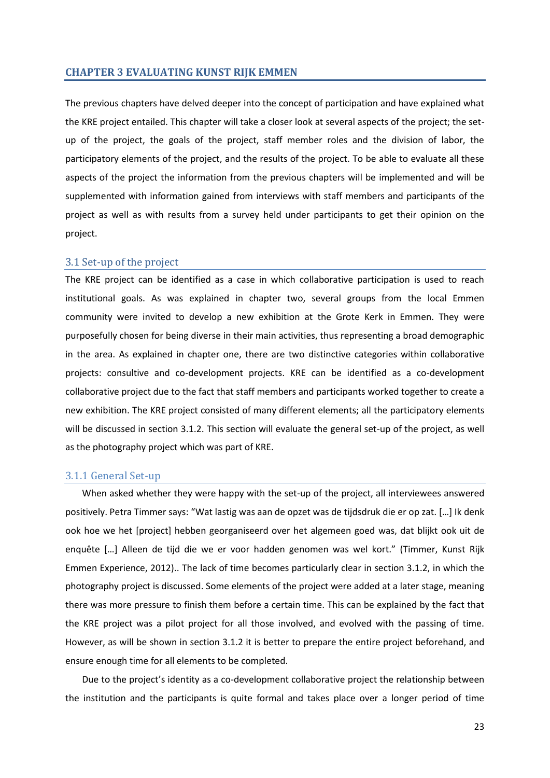#### <span id="page-23-0"></span>**CHAPTER 3 EVALUATING KUNST RIJK EMMEN**

The previous chapters have delved deeper into the concept of participation and have explained what the KRE project entailed. This chapter will take a closer look at several aspects of the project; the setup of the project, the goals of the project, staff member roles and the division of labor, the participatory elements of the project, and the results of the project. To be able to evaluate all these aspects of the project the information from the previous chapters will be implemented and will be supplemented with information gained from interviews with staff members and participants of the project as well as with results from a survey held under participants to get their opinion on the project.

## <span id="page-23-1"></span>3.1 Set-up of the project

The KRE project can be identified as a case in which collaborative participation is used to reach institutional goals. As was explained in chapter two, several groups from the local Emmen community were invited to develop a new exhibition at the Grote Kerk in Emmen. They were purposefully chosen for being diverse in their main activities, thus representing a broad demographic in the area. As explained in chapter one, there are two distinctive categories within collaborative projects: consultive and co-development projects. KRE can be identified as a co-development collaborative project due to the fact that staff members and participants worked together to create a new exhibition. The KRE project consisted of many different elements; all the participatory elements will be discussed in section 3.1.2. This section will evaluate the general set-up of the project, as well as the photography project which was part of KRE.

#### <span id="page-23-2"></span>3.1.1 General Set-up

When asked whether they were happy with the set-up of the project, all interviewees answered positively. Petra Timmer says: "Wat lastig was aan de opzet was de tijdsdruk die er op zat. […] Ik denk ook hoe we het [project] hebben georganiseerd over het algemeen goed was, dat blijkt ook uit de enquête […] Alleen de tijd die we er voor hadden genomen was wel kort." (Timmer, Kunst Rijk Emmen Experience, 2012).. The lack of time becomes particularly clear in section 3.1.2, in which the photography project is discussed. Some elements of the project were added at a later stage, meaning there was more pressure to finish them before a certain time. This can be explained by the fact that the KRE project was a pilot project for all those involved, and evolved with the passing of time. However, as will be shown in section 3.1.2 it is better to prepare the entire project beforehand, and ensure enough time for all elements to be completed.

Due to the project's identity as a co-development collaborative project the relationship between the institution and the participants is quite formal and takes place over a longer period of time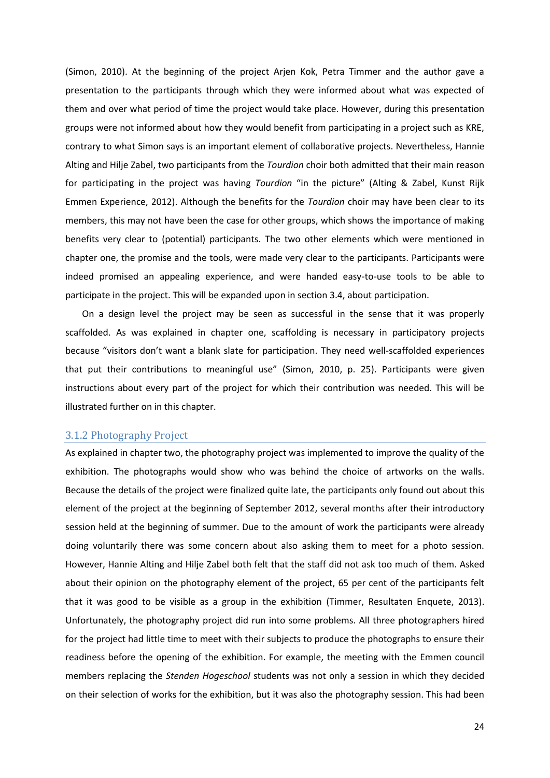(Simon, 2010). At the beginning of the project Arjen Kok, Petra Timmer and the author gave a presentation to the participants through which they were informed about what was expected of them and over what period of time the project would take place. However, during this presentation groups were not informed about how they would benefit from participating in a project such as KRE, contrary to what Simon says is an important element of collaborative projects. Nevertheless, Hannie Alting and Hilje Zabel, two participants from the *Tourdion* choir both admitted that their main reason for participating in the project was having *Tourdion* "in the picture" (Alting & Zabel, Kunst Rijk Emmen Experience, 2012). Although the benefits for the *Tourdion* choir may have been clear to its members, this may not have been the case for other groups, which shows the importance of making benefits very clear to (potential) participants. The two other elements which were mentioned in chapter one, the promise and the tools, were made very clear to the participants. Participants were indeed promised an appealing experience, and were handed easy-to-use tools to be able to participate in the project. This will be expanded upon in section 3.4, about participation.

On a design level the project may be seen as successful in the sense that it was properly scaffolded. As was explained in chapter one, scaffolding is necessary in participatory projects because "visitors don't want a blank slate for participation. They need well-scaffolded experiences that put their contributions to meaningful use" (Simon, 2010, p. 25). Participants were given instructions about every part of the project for which their contribution was needed. This will be illustrated further on in this chapter.

#### <span id="page-24-0"></span>3.1.2 Photography Project

As explained in chapter two, the photography project was implemented to improve the quality of the exhibition. The photographs would show who was behind the choice of artworks on the walls. Because the details of the project were finalized quite late, the participants only found out about this element of the project at the beginning of September 2012, several months after their introductory session held at the beginning of summer. Due to the amount of work the participants were already doing voluntarily there was some concern about also asking them to meet for a photo session. However, Hannie Alting and Hilje Zabel both felt that the staff did not ask too much of them. Asked about their opinion on the photography element of the project, 65 per cent of the participants felt that it was good to be visible as a group in the exhibition (Timmer, Resultaten Enquete, 2013). Unfortunately, the photography project did run into some problems. All three photographers hired for the project had little time to meet with their subjects to produce the photographs to ensure their readiness before the opening of the exhibition. For example, the meeting with the Emmen council members replacing the *Stenden Hogeschool* students was not only a session in which they decided on their selection of works for the exhibition, but it was also the photography session. This had been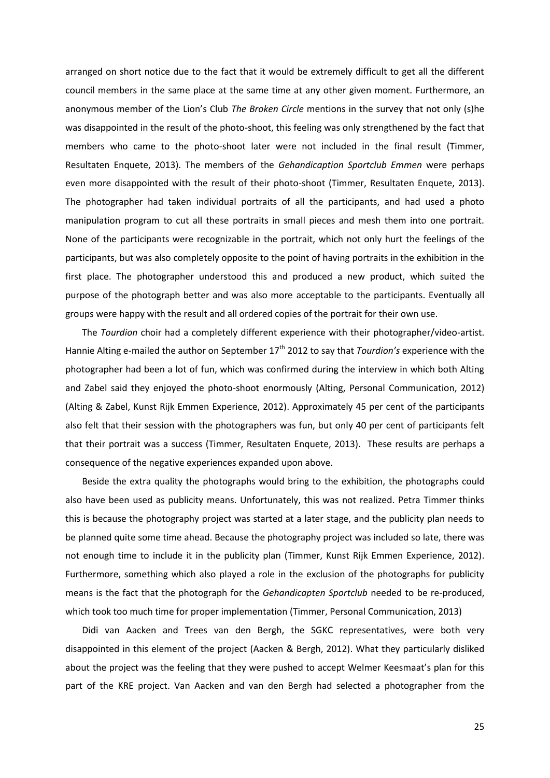arranged on short notice due to the fact that it would be extremely difficult to get all the different council members in the same place at the same time at any other given moment. Furthermore, an anonymous member of the Lion's Club *The Broken Circle* mentions in the survey that not only (s)he was disappointed in the result of the photo-shoot, this feeling was only strengthened by the fact that members who came to the photo-shoot later were not included in the final result (Timmer, Resultaten Enquete, 2013). The members of the *Gehandicaption Sportclub Emmen* were perhaps even more disappointed with the result of their photo-shoot (Timmer, Resultaten Enquete, 2013). The photographer had taken individual portraits of all the participants, and had used a photo manipulation program to cut all these portraits in small pieces and mesh them into one portrait. None of the participants were recognizable in the portrait, which not only hurt the feelings of the participants, but was also completely opposite to the point of having portraits in the exhibition in the first place. The photographer understood this and produced a new product, which suited the purpose of the photograph better and was also more acceptable to the participants. Eventually all groups were happy with the result and all ordered copies of the portrait for their own use.

The *Tourdion* choir had a completely different experience with their photographer/video-artist. Hannie Alting e-mailed the author on September 17th 2012 to say that *Tourdion's* experience with the photographer had been a lot of fun, which was confirmed during the interview in which both Alting and Zabel said they enjoyed the photo-shoot enormously (Alting, Personal Communication, 2012) (Alting & Zabel, Kunst Rijk Emmen Experience, 2012). Approximately 45 per cent of the participants also felt that their session with the photographers was fun, but only 40 per cent of participants felt that their portrait was a success (Timmer, Resultaten Enquete, 2013). These results are perhaps a consequence of the negative experiences expanded upon above.

Beside the extra quality the photographs would bring to the exhibition, the photographs could also have been used as publicity means. Unfortunately, this was not realized. Petra Timmer thinks this is because the photography project was started at a later stage, and the publicity plan needs to be planned quite some time ahead. Because the photography project was included so late, there was not enough time to include it in the publicity plan (Timmer, Kunst Rijk Emmen Experience, 2012). Furthermore, something which also played a role in the exclusion of the photographs for publicity means is the fact that the photograph for the *Gehandicapten Sportclub* needed to be re-produced, which took too much time for proper implementation (Timmer, Personal Communication, 2013)

Didi van Aacken and Trees van den Bergh, the SGKC representatives, were both very disappointed in this element of the project (Aacken & Bergh, 2012). What they particularly disliked about the project was the feeling that they were pushed to accept Welmer Keesmaat's plan for this part of the KRE project. Van Aacken and van den Bergh had selected a photographer from the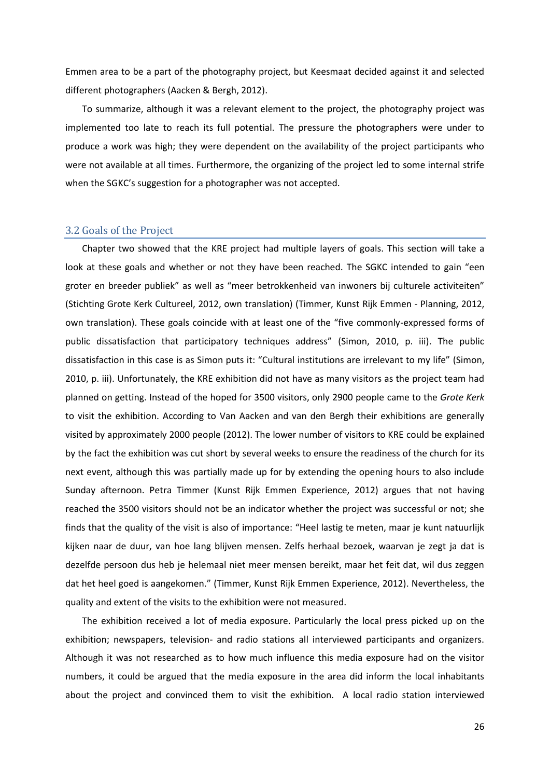Emmen area to be a part of the photography project, but Keesmaat decided against it and selected different photographers (Aacken & Bergh, 2012).

To summarize, although it was a relevant element to the project, the photography project was implemented too late to reach its full potential. The pressure the photographers were under to produce a work was high; they were dependent on the availability of the project participants who were not available at all times. Furthermore, the organizing of the project led to some internal strife when the SGKC's suggestion for a photographer was not accepted.

#### <span id="page-26-0"></span>3.2 Goals of the Project

Chapter two showed that the KRE project had multiple layers of goals. This section will take a look at these goals and whether or not they have been reached. The SGKC intended to gain "een groter en breeder publiek" as well as "meer betrokkenheid van inwoners bij culturele activiteiten" (Stichting Grote Kerk Cultureel, 2012, own translation) (Timmer, Kunst Rijk Emmen - Planning, 2012, own translation). These goals coincide with at least one of the "five commonly-expressed forms of public dissatisfaction that participatory techniques address" (Simon, 2010, p. iii). The public dissatisfaction in this case is as Simon puts it: "Cultural institutions are irrelevant to my life" (Simon, 2010, p. iii). Unfortunately, the KRE exhibition did not have as many visitors as the project team had planned on getting. Instead of the hoped for 3500 visitors, only 2900 people came to the *Grote Kerk* to visit the exhibition. According to Van Aacken and van den Bergh their exhibitions are generally visited by approximately 2000 people (2012). The lower number of visitors to KRE could be explained by the fact the exhibition was cut short by several weeks to ensure the readiness of the church for its next event, although this was partially made up for by extending the opening hours to also include Sunday afternoon. Petra Timmer (Kunst Rijk Emmen Experience, 2012) argues that not having reached the 3500 visitors should not be an indicator whether the project was successful or not; she finds that the quality of the visit is also of importance: "Heel lastig te meten, maar je kunt natuurlijk kijken naar de duur, van hoe lang blijven mensen. Zelfs herhaal bezoek, waarvan je zegt ja dat is dezelfde persoon dus heb je helemaal niet meer mensen bereikt, maar het feit dat, wil dus zeggen dat het heel goed is aangekomen." (Timmer, Kunst Rijk Emmen Experience, 2012). Nevertheless, the quality and extent of the visits to the exhibition were not measured.

The exhibition received a lot of media exposure. Particularly the local press picked up on the exhibition; newspapers, television- and radio stations all interviewed participants and organizers. Although it was not researched as to how much influence this media exposure had on the visitor numbers, it could be argued that the media exposure in the area did inform the local inhabitants about the project and convinced them to visit the exhibition. A local radio station interviewed

26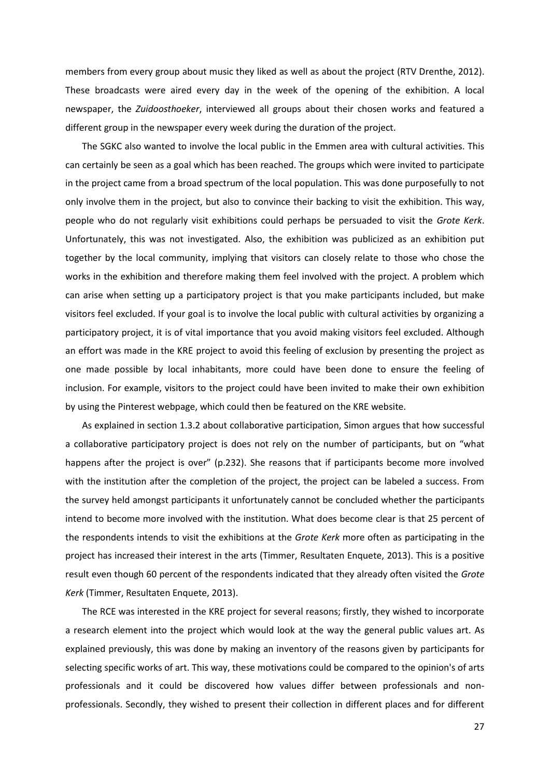members from every group about music they liked as well as about the project (RTV Drenthe, 2012). These broadcasts were aired every day in the week of the opening of the exhibition. A local newspaper, the *Zuidoosthoeker*, interviewed all groups about their chosen works and featured a different group in the newspaper every week during the duration of the project.

The SGKC also wanted to involve the local public in the Emmen area with cultural activities. This can certainly be seen as a goal which has been reached. The groups which were invited to participate in the project came from a broad spectrum of the local population. This was done purposefully to not only involve them in the project, but also to convince their backing to visit the exhibition. This way, people who do not regularly visit exhibitions could perhaps be persuaded to visit the *Grote Kerk*. Unfortunately, this was not investigated. Also, the exhibition was publicized as an exhibition put together by the local community, implying that visitors can closely relate to those who chose the works in the exhibition and therefore making them feel involved with the project. A problem which can arise when setting up a participatory project is that you make participants included, but make visitors feel excluded. If your goal is to involve the local public with cultural activities by organizing a participatory project, it is of vital importance that you avoid making visitors feel excluded. Although an effort was made in the KRE project to avoid this feeling of exclusion by presenting the project as one made possible by local inhabitants, more could have been done to ensure the feeling of inclusion. For example, visitors to the project could have been invited to make their own exhibition by using the Pinterest webpage, which could then be featured on the KRE website.

As explained in section 1.3.2 about collaborative participation, Simon argues that how successful a collaborative participatory project is does not rely on the number of participants, but on "what happens after the project is over" (p.232). She reasons that if participants become more involved with the institution after the completion of the project, the project can be labeled a success. From the survey held amongst participants it unfortunately cannot be concluded whether the participants intend to become more involved with the institution. What does become clear is that 25 percent of the respondents intends to visit the exhibitions at the *Grote Kerk* more often as participating in the project has increased their interest in the arts (Timmer, Resultaten Enquete, 2013). This is a positive result even though 60 percent of the respondents indicated that they already often visited the *Grote Kerk* (Timmer, Resultaten Enquete, 2013).

The RCE was interested in the KRE project for several reasons; firstly, they wished to incorporate a research element into the project which would look at the way the general public values art. As explained previously, this was done by making an inventory of the reasons given by participants for selecting specific works of art. This way, these motivations could be compared to the opinion's of arts professionals and it could be discovered how values differ between professionals and nonprofessionals. Secondly, they wished to present their collection in different places and for different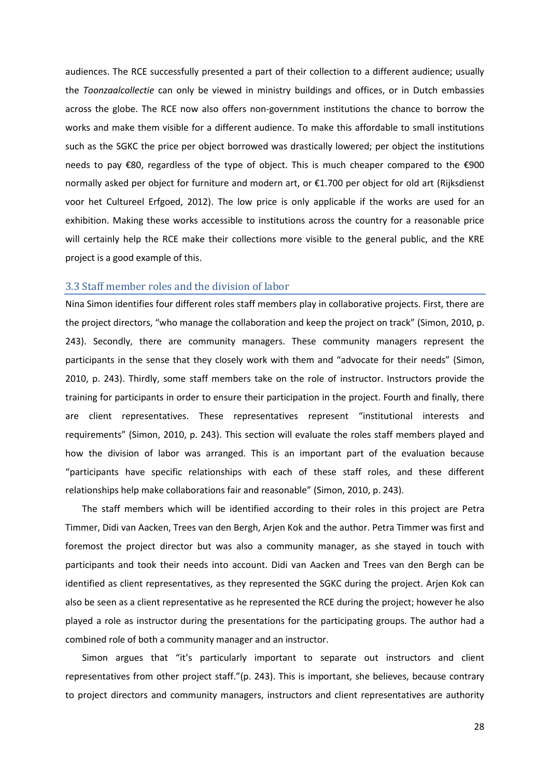audiences. The RCE successfully presented a part of their collection to a different audience; usually the *Toonzaalcollectie* can only be viewed in ministry buildings and offices, or in Dutch embassies across the globe. The RCE now also offers non-government institutions the chance to borrow the works and make them visible for a different audience. To make this affordable to small institutions such as the SGKC the price per object borrowed was drastically lowered; per object the institutions needs to pay €80, regardless of the type of object. This is much cheaper compared to the €900 normally asked per object for furniture and modern art, or €1.700 per object for old art (Rijksdienst voor het Cultureel Erfgoed, 2012). The low price is only applicable if the works are used for an exhibition. Making these works accessible to institutions across the country for a reasonable price will certainly help the RCE make their collections more visible to the general public, and the KRE project is a good example of this.

## <span id="page-28-0"></span>3.3 Staff member roles and the division of labor

Nina Simon identifies four different roles staff members play in collaborative projects. First, there are the project directors, "who manage the collaboration and keep the project on track" (Simon, 2010, p. 243). Secondly, there are community managers. These community managers represent the participants in the sense that they closely work with them and "advocate for their needs" (Simon, 2010, p. 243). Thirdly, some staff members take on the role of instructor. Instructors provide the training for participants in order to ensure their participation in the project. Fourth and finally, there are client representatives. These representatives represent "institutional interests and requirements" (Simon, 2010, p. 243). This section will evaluate the roles staff members played and how the division of labor was arranged. This is an important part of the evaluation because "participants have specific relationships with each of these staff roles, and these different relationships help make collaborations fair and reasonable" (Simon, 2010, p. 243).

The staff members which will be identified according to their roles in this project are Petra Timmer, Didi van Aacken, Trees van den Bergh, Arjen Kok and the author. Petra Timmer was first and foremost the project director but was also a community manager, as she stayed in touch with participants and took their needs into account. Didi van Aacken and Trees van den Bergh can be identified as client representatives, as they represented the SGKC during the project. Arjen Kok can also be seen as a client representative as he represented the RCE during the project; however he also played a role as instructor during the presentations for the participating groups. The author had a combined role of both a community manager and an instructor.

Simon argues that "it's particularly important to separate out instructors and client representatives from other project staff."(p. 243). This is important, she believes, because contrary to project directors and community managers, instructors and client representatives are authority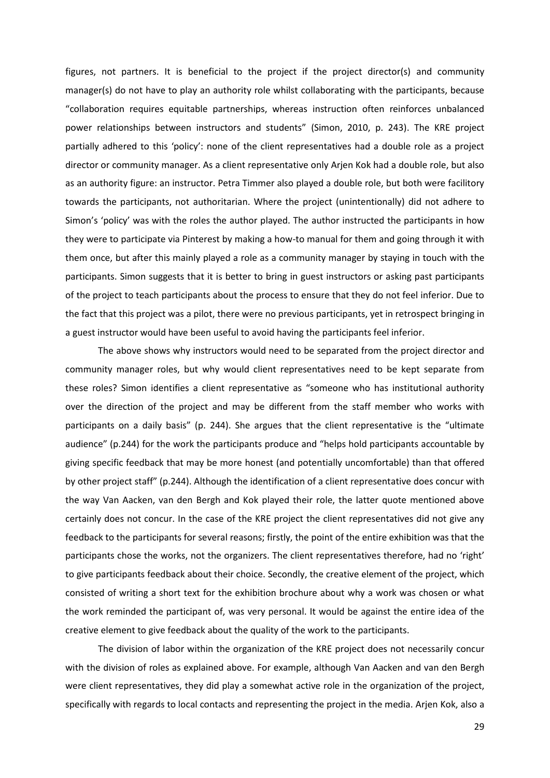figures, not partners. It is beneficial to the project if the project director(s) and community manager(s) do not have to play an authority role whilst collaborating with the participants, because "collaboration requires equitable partnerships, whereas instruction often reinforces unbalanced power relationships between instructors and students" (Simon, 2010, p. 243). The KRE project partially adhered to this 'policy': none of the client representatives had a double role as a project director or community manager. As a client representative only Arjen Kok had a double role, but also as an authority figure: an instructor. Petra Timmer also played a double role, but both were facilitory towards the participants, not authoritarian. Where the project (unintentionally) did not adhere to Simon's 'policy' was with the roles the author played. The author instructed the participants in how they were to participate via Pinterest by making a how-to manual for them and going through it with them once, but after this mainly played a role as a community manager by staying in touch with the participants. Simon suggests that it is better to bring in guest instructors or asking past participants of the project to teach participants about the process to ensure that they do not feel inferior. Due to the fact that this project was a pilot, there were no previous participants, yet in retrospect bringing in a guest instructor would have been useful to avoid having the participants feel inferior.

The above shows why instructors would need to be separated from the project director and community manager roles, but why would client representatives need to be kept separate from these roles? Simon identifies a client representative as "someone who has institutional authority over the direction of the project and may be different from the staff member who works with participants on a daily basis" (p. 244). She argues that the client representative is the "ultimate audience" (p.244) for the work the participants produce and "helps hold participants accountable by giving specific feedback that may be more honest (and potentially uncomfortable) than that offered by other project staff" (p.244). Although the identification of a client representative does concur with the way Van Aacken, van den Bergh and Kok played their role, the latter quote mentioned above certainly does not concur. In the case of the KRE project the client representatives did not give any feedback to the participants for several reasons; firstly, the point of the entire exhibition was that the participants chose the works, not the organizers. The client representatives therefore, had no 'right' to give participants feedback about their choice. Secondly, the creative element of the project, which consisted of writing a short text for the exhibition brochure about why a work was chosen or what the work reminded the participant of, was very personal. It would be against the entire idea of the creative element to give feedback about the quality of the work to the participants.

The division of labor within the organization of the KRE project does not necessarily concur with the division of roles as explained above. For example, although Van Aacken and van den Bergh were client representatives, they did play a somewhat active role in the organization of the project, specifically with regards to local contacts and representing the project in the media. Arjen Kok, also a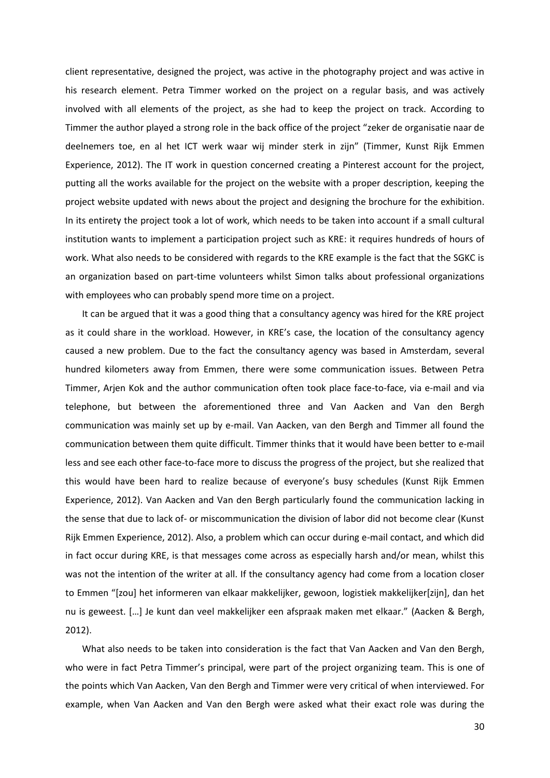client representative, designed the project, was active in the photography project and was active in his research element. Petra Timmer worked on the project on a regular basis, and was actively involved with all elements of the project, as she had to keep the project on track. According to Timmer the author played a strong role in the back office of the project "zeker de organisatie naar de deelnemers toe, en al het ICT werk waar wij minder sterk in zijn" (Timmer, Kunst Rijk Emmen Experience, 2012). The IT work in question concerned creating a Pinterest account for the project, putting all the works available for the project on the website with a proper description, keeping the project website updated with news about the project and designing the brochure for the exhibition. In its entirety the project took a lot of work, which needs to be taken into account if a small cultural institution wants to implement a participation project such as KRE: it requires hundreds of hours of work. What also needs to be considered with regards to the KRE example is the fact that the SGKC is an organization based on part-time volunteers whilst Simon talks about professional organizations with employees who can probably spend more time on a project.

It can be argued that it was a good thing that a consultancy agency was hired for the KRE project as it could share in the workload. However, in KRE's case, the location of the consultancy agency caused a new problem. Due to the fact the consultancy agency was based in Amsterdam, several hundred kilometers away from Emmen, there were some communication issues. Between Petra Timmer, Arjen Kok and the author communication often took place face-to-face, via e-mail and via telephone, but between the aforementioned three and Van Aacken and Van den Bergh communication was mainly set up by e-mail. Van Aacken, van den Bergh and Timmer all found the communication between them quite difficult. Timmer thinks that it would have been better to e-mail less and see each other face-to-face more to discuss the progress of the project, but she realized that this would have been hard to realize because of everyone's busy schedules (Kunst Rijk Emmen Experience, 2012). Van Aacken and Van den Bergh particularly found the communication lacking in the sense that due to lack of- or miscommunication the division of labor did not become clear (Kunst Rijk Emmen Experience, 2012). Also, a problem which can occur during e-mail contact, and which did in fact occur during KRE, is that messages come across as especially harsh and/or mean, whilst this was not the intention of the writer at all. If the consultancy agency had come from a location closer to Emmen "[zou] het informeren van elkaar makkelijker, gewoon, logistiek makkelijker[zijn], dan het nu is geweest. […] Je kunt dan veel makkelijker een afspraak maken met elkaar." (Aacken & Bergh, 2012).

What also needs to be taken into consideration is the fact that Van Aacken and Van den Bergh, who were in fact Petra Timmer's principal, were part of the project organizing team. This is one of the points which Van Aacken, Van den Bergh and Timmer were very critical of when interviewed. For example, when Van Aacken and Van den Bergh were asked what their exact role was during the

30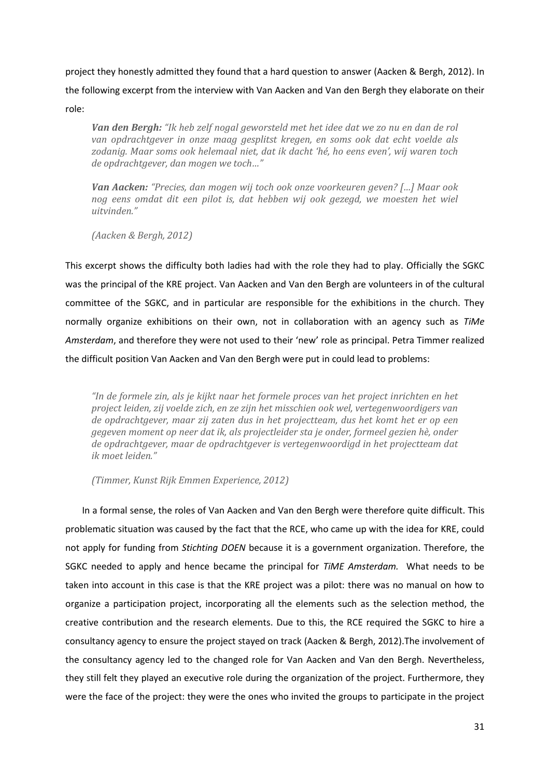project they honestly admitted they found that a hard question to answer (Aacken & Bergh, 2012). In the following excerpt from the interview with Van Aacken and Van den Bergh they elaborate on their role:

*Van den Bergh: "Ik heb zelf nogal geworsteld met het idee dat we zo nu en dan de rol van opdrachtgever in onze maag gesplitst kregen, en soms ook dat echt voelde als zodanig. Maar soms ook helemaal niet, dat ik dacht 'hé, ho eens even', wij waren toch de opdrachtgever, dan mogen we toch…"*

*Van Aacken: "Precies, dan mogen wij toch ook onze voorkeuren geven? […] Maar ook nog eens omdat dit een pilot is, dat hebben wij ook gezegd, we moesten het wiel uitvinden."*

*(Aacken & Bergh, 2012)*

This excerpt shows the difficulty both ladies had with the role they had to play. Officially the SGKC was the principal of the KRE project. Van Aacken and Van den Bergh are volunteers in of the cultural committee of the SGKC, and in particular are responsible for the exhibitions in the church. They normally organize exhibitions on their own, not in collaboration with an agency such as *TiMe Amsterdam*, and therefore they were not used to their 'new' role as principal. Petra Timmer realized the difficult position Van Aacken and Van den Bergh were put in could lead to problems:

*"In de formele zin, als je kijkt naar het formele proces van het project inrichten en het project leiden, zij voelde zich, en ze zijn het misschien ook wel, vertegenwoordigers van de opdrachtgever, maar zij zaten dus in het projectteam, dus het komt het er op een gegeven moment op neer dat ik, als projectleider sta je onder, formeel gezien hè, onder de opdrachtgever, maar de opdrachtgever is vertegenwoordigd in het projectteam dat ik moet leiden."*

*(Timmer, Kunst Rijk Emmen Experience, 2012)*

In a formal sense, the roles of Van Aacken and Van den Bergh were therefore quite difficult. This problematic situation was caused by the fact that the RCE, who came up with the idea for KRE, could not apply for funding from *Stichting DOEN* because it is a government organization. Therefore, the SGKC needed to apply and hence became the principal for *TiME Amsterdam.* What needs to be taken into account in this case is that the KRE project was a pilot: there was no manual on how to organize a participation project, incorporating all the elements such as the selection method, the creative contribution and the research elements. Due to this, the RCE required the SGKC to hire a consultancy agency to ensure the project stayed on track (Aacken & Bergh, 2012).The involvement of the consultancy agency led to the changed role for Van Aacken and Van den Bergh. Nevertheless, they still felt they played an executive role during the organization of the project. Furthermore, they were the face of the project: they were the ones who invited the groups to participate in the project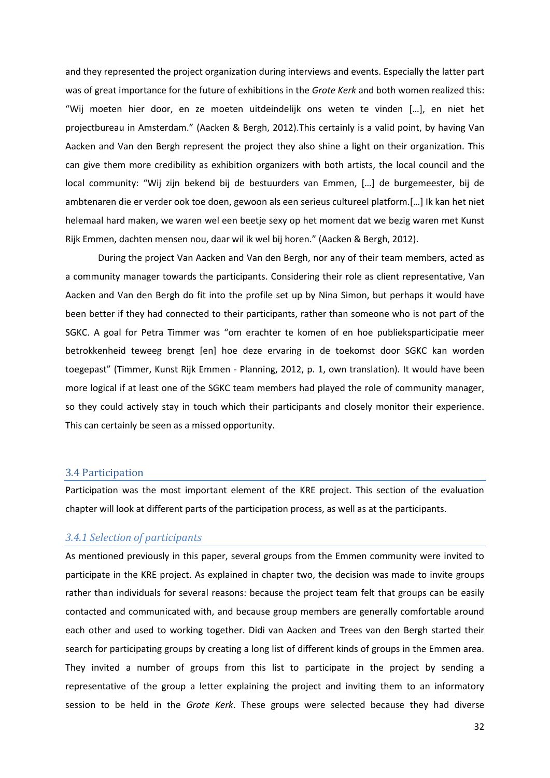and they represented the project organization during interviews and events. Especially the latter part was of great importance for the future of exhibitions in the *Grote Kerk* and both women realized this: "Wij moeten hier door, en ze moeten uitdeindelijk ons weten te vinden […], en niet het projectbureau in Amsterdam." (Aacken & Bergh, 2012).This certainly is a valid point, by having Van Aacken and Van den Bergh represent the project they also shine a light on their organization. This can give them more credibility as exhibition organizers with both artists, the local council and the local community: "Wij zijn bekend bij de bestuurders van Emmen, […] de burgemeester, bij de ambtenaren die er verder ook toe doen, gewoon als een serieus cultureel platform.[…] Ik kan het niet helemaal hard maken, we waren wel een beetje sexy op het moment dat we bezig waren met Kunst Rijk Emmen, dachten mensen nou, daar wil ik wel bij horen." (Aacken & Bergh, 2012).

During the project Van Aacken and Van den Bergh, nor any of their team members, acted as a community manager towards the participants. Considering their role as client representative, Van Aacken and Van den Bergh do fit into the profile set up by Nina Simon, but perhaps it would have been better if they had connected to their participants, rather than someone who is not part of the SGKC. A goal for Petra Timmer was "om erachter te komen of en hoe publieksparticipatie meer betrokkenheid teweeg brengt [en] hoe deze ervaring in de toekomst door SGKC kan worden toegepast" (Timmer, Kunst Rijk Emmen - Planning, 2012, p. 1, own translation). It would have been more logical if at least one of the SGKC team members had played the role of community manager, so they could actively stay in touch which their participants and closely monitor their experience. This can certainly be seen as a missed opportunity.

## <span id="page-32-0"></span>3.4 Participation

Participation was the most important element of the KRE project. This section of the evaluation chapter will look at different parts of the participation process, as well as at the participants.

## *3.4.1 Selection of participants*

As mentioned previously in this paper, several groups from the Emmen community were invited to participate in the KRE project. As explained in chapter two, the decision was made to invite groups rather than individuals for several reasons: because the project team felt that groups can be easily contacted and communicated with, and because group members are generally comfortable around each other and used to working together. Didi van Aacken and Trees van den Bergh started their search for participating groups by creating a long list of different kinds of groups in the Emmen area. They invited a number of groups from this list to participate in the project by sending a representative of the group a letter explaining the project and inviting them to an informatory session to be held in the *Grote Kerk*. These groups were selected because they had diverse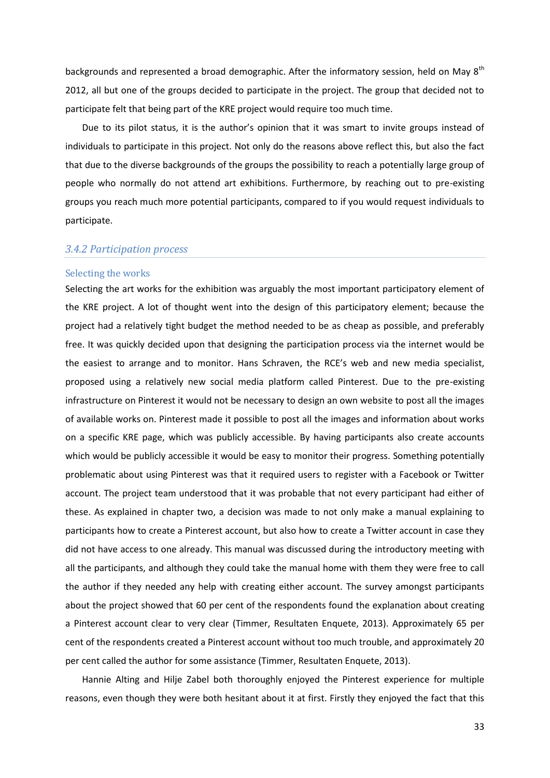backgrounds and represented a broad demographic. After the informatory session, held on May 8<sup>th</sup> 2012, all but one of the groups decided to participate in the project. The group that decided not to participate felt that being part of the KRE project would require too much time.

Due to its pilot status, it is the author's opinion that it was smart to invite groups instead of individuals to participate in this project. Not only do the reasons above reflect this, but also the fact that due to the diverse backgrounds of the groups the possibility to reach a potentially large group of people who normally do not attend art exhibitions. Furthermore, by reaching out to pre-existing groups you reach much more potential participants, compared to if you would request individuals to participate.

## *3.4.2 Participation process*

#### Selecting the works

Selecting the art works for the exhibition was arguably the most important participatory element of the KRE project. A lot of thought went into the design of this participatory element; because the project had a relatively tight budget the method needed to be as cheap as possible, and preferably free. It was quickly decided upon that designing the participation process via the internet would be the easiest to arrange and to monitor. Hans Schraven, the RCE's web and new media specialist, proposed using a relatively new social media platform called Pinterest. Due to the pre-existing infrastructure on Pinterest it would not be necessary to design an own website to post all the images of available works on. Pinterest made it possible to post all the images and information about works on a specific KRE page, which was publicly accessible. By having participants also create accounts which would be publicly accessible it would be easy to monitor their progress. Something potentially problematic about using Pinterest was that it required users to register with a Facebook or Twitter account. The project team understood that it was probable that not every participant had either of these. As explained in chapter two, a decision was made to not only make a manual explaining to participants how to create a Pinterest account, but also how to create a Twitter account in case they did not have access to one already. This manual was discussed during the introductory meeting with all the participants, and although they could take the manual home with them they were free to call the author if they needed any help with creating either account. The survey amongst participants about the project showed that 60 per cent of the respondents found the explanation about creating a Pinterest account clear to very clear (Timmer, Resultaten Enquete, 2013). Approximately 65 per cent of the respondents created a Pinterest account without too much trouble, and approximately 20 per cent called the author for some assistance (Timmer, Resultaten Enquete, 2013).

Hannie Alting and Hilje Zabel both thoroughly enjoyed the Pinterest experience for multiple reasons, even though they were both hesitant about it at first. Firstly they enjoyed the fact that this

33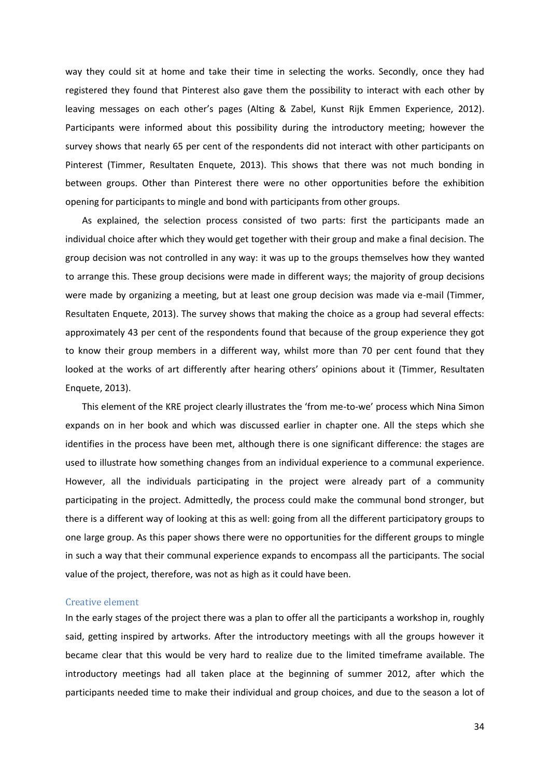way they could sit at home and take their time in selecting the works. Secondly, once they had registered they found that Pinterest also gave them the possibility to interact with each other by leaving messages on each other's pages (Alting & Zabel, Kunst Rijk Emmen Experience, 2012). Participants were informed about this possibility during the introductory meeting; however the survey shows that nearly 65 per cent of the respondents did not interact with other participants on Pinterest (Timmer, Resultaten Enquete, 2013). This shows that there was not much bonding in between groups. Other than Pinterest there were no other opportunities before the exhibition opening for participants to mingle and bond with participants from other groups.

As explained, the selection process consisted of two parts: first the participants made an individual choice after which they would get together with their group and make a final decision. The group decision was not controlled in any way: it was up to the groups themselves how they wanted to arrange this. These group decisions were made in different ways; the majority of group decisions were made by organizing a meeting, but at least one group decision was made via e-mail (Timmer, Resultaten Enquete, 2013). The survey shows that making the choice as a group had several effects: approximately 43 per cent of the respondents found that because of the group experience they got to know their group members in a different way, whilst more than 70 per cent found that they looked at the works of art differently after hearing others' opinions about it (Timmer, Resultaten Enquete, 2013).

This element of the KRE project clearly illustrates the 'from me-to-we' process which Nina Simon expands on in her book and which was discussed earlier in chapter one. All the steps which she identifies in the process have been met, although there is one significant difference: the stages are used to illustrate how something changes from an individual experience to a communal experience. However, all the individuals participating in the project were already part of a community participating in the project. Admittedly, the process could make the communal bond stronger, but there is a different way of looking at this as well: going from all the different participatory groups to one large group. As this paper shows there were no opportunities for the different groups to mingle in such a way that their communal experience expands to encompass all the participants. The social value of the project, therefore, was not as high as it could have been.

#### Creative element

In the early stages of the project there was a plan to offer all the participants a workshop in, roughly said, getting inspired by artworks. After the introductory meetings with all the groups however it became clear that this would be very hard to realize due to the limited timeframe available. The introductory meetings had all taken place at the beginning of summer 2012, after which the participants needed time to make their individual and group choices, and due to the season a lot of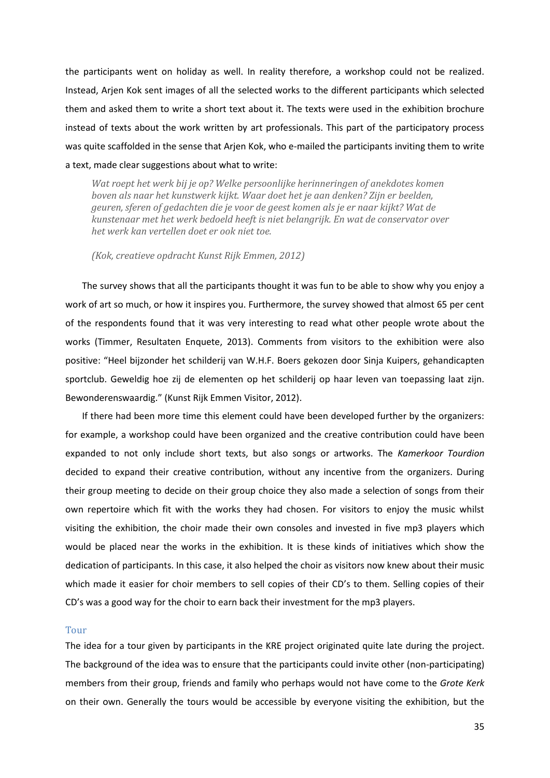the participants went on holiday as well. In reality therefore, a workshop could not be realized. Instead, Arjen Kok sent images of all the selected works to the different participants which selected them and asked them to write a short text about it. The texts were used in the exhibition brochure instead of texts about the work written by art professionals. This part of the participatory process was quite scaffolded in the sense that Arjen Kok, who e-mailed the participants inviting them to write a text, made clear suggestions about what to write:

*Wat roept het werk bij je op? Welke persoonlijke herinneringen of anekdotes komen boven als naar het kunstwerk kijkt. Waar doet het je aan denken? Zijn er beelden, geuren, sferen of gedachten die je voor de geest komen als je er naar kijkt? Wat de kunstenaar met het werk bedoeld heeft is niet belangrijk. En wat de conservator over het werk kan vertellen doet er ook niet toe.*

*(Kok, creatieve opdracht Kunst Rijk Emmen, 2012)*

The survey shows that all the participants thought it was fun to be able to show why you enjoy a work of art so much, or how it inspires you. Furthermore, the survey showed that almost 65 per cent of the respondents found that it was very interesting to read what other people wrote about the works (Timmer, Resultaten Enquete, 2013). Comments from visitors to the exhibition were also positive: "Heel bijzonder het schilderij van W.H.F. Boers gekozen door Sinja Kuipers, gehandicapten sportclub. Geweldig hoe zij de elementen op het schilderij op haar leven van toepassing laat zijn. Bewonderenswaardig." (Kunst Rijk Emmen Visitor, 2012).

If there had been more time this element could have been developed further by the organizers: for example, a workshop could have been organized and the creative contribution could have been expanded to not only include short texts, but also songs or artworks. The *Kamerkoor Tourdion* decided to expand their creative contribution, without any incentive from the organizers. During their group meeting to decide on their group choice they also made a selection of songs from their own repertoire which fit with the works they had chosen. For visitors to enjoy the music whilst visiting the exhibition, the choir made their own consoles and invested in five mp3 players which would be placed near the works in the exhibition. It is these kinds of initiatives which show the dedication of participants. In this case, it also helped the choir as visitors now knew about their music which made it easier for choir members to sell copies of their CD's to them. Selling copies of their CD's was a good way for the choir to earn back their investment for the mp3 players.

#### Tour

The idea for a tour given by participants in the KRE project originated quite late during the project. The background of the idea was to ensure that the participants could invite other (non-participating) members from their group, friends and family who perhaps would not have come to the *Grote Kerk* on their own. Generally the tours would be accessible by everyone visiting the exhibition, but the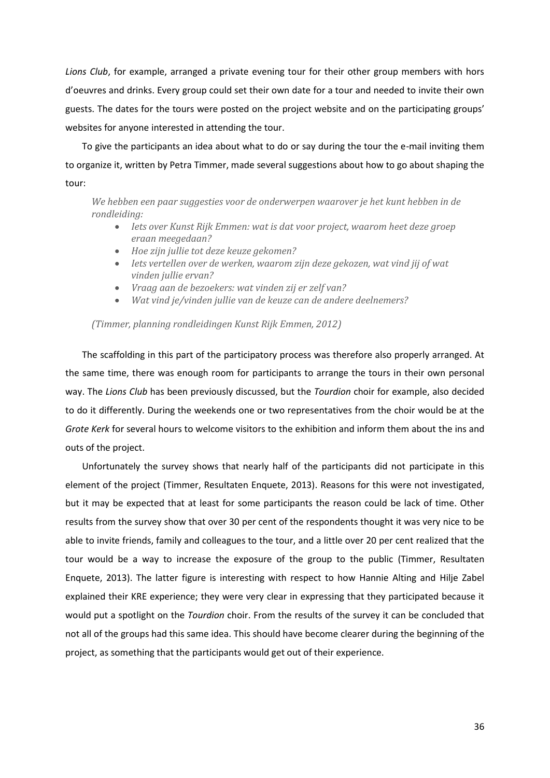*Lions Club*, for example, arranged a private evening tour for their other group members with hors d'oeuvres and drinks. Every group could set their own date for a tour and needed to invite their own guests. The dates for the tours were posted on the project website and on the participating groups' websites for anyone interested in attending the tour.

To give the participants an idea about what to do or say during the tour the e-mail inviting them to organize it, written by Petra Timmer, made several suggestions about how to go about shaping the tour:

*We hebben een paar suggesties voor de onderwerpen waarover je het kunt hebben in de rondleiding:*

- *Iets over Kunst Rijk Emmen: wat is dat voor project, waarom heet deze groep eraan meegedaan?*
- *Hoe zijn jullie tot deze keuze gekomen?*
- *Iets vertellen over de werken, waarom zijn deze gekozen, wat vind jij of wat vinden jullie ervan?*
- *Vraag aan de bezoekers: wat vinden zij er zelf van?*
- *Wat vind je/vinden jullie van de keuze can de andere deelnemers?*

#### *(Timmer, planning rondleidingen Kunst Rijk Emmen, 2012)*

The scaffolding in this part of the participatory process was therefore also properly arranged. At the same time, there was enough room for participants to arrange the tours in their own personal way. The *Lions Club* has been previously discussed, but the *Tourdion* choir for example, also decided to do it differently. During the weekends one or two representatives from the choir would be at the *Grote Kerk* for several hours to welcome visitors to the exhibition and inform them about the ins and outs of the project.

Unfortunately the survey shows that nearly half of the participants did not participate in this element of the project (Timmer, Resultaten Enquete, 2013). Reasons for this were not investigated, but it may be expected that at least for some participants the reason could be lack of time. Other results from the survey show that over 30 per cent of the respondents thought it was very nice to be able to invite friends, family and colleagues to the tour, and a little over 20 per cent realized that the tour would be a way to increase the exposure of the group to the public (Timmer, Resultaten Enquete, 2013). The latter figure is interesting with respect to how Hannie Alting and Hilje Zabel explained their KRE experience; they were very clear in expressing that they participated because it would put a spotlight on the *Tourdion* choir. From the results of the survey it can be concluded that not all of the groups had this same idea. This should have become clearer during the beginning of the project, as something that the participants would get out of their experience.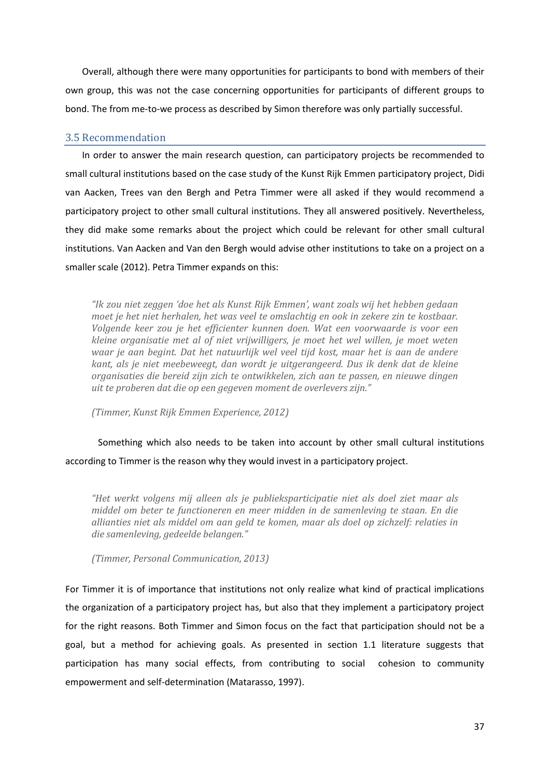Overall, although there were many opportunities for participants to bond with members of their own group, this was not the case concerning opportunities for participants of different groups to bond. The from me-to-we process as described by Simon therefore was only partially successful.

## <span id="page-37-0"></span>3.5 Recommendation

In order to answer the main research question, can participatory projects be recommended to small cultural institutions based on the case study of the Kunst Rijk Emmen participatory project, Didi van Aacken, Trees van den Bergh and Petra Timmer were all asked if they would recommend a participatory project to other small cultural institutions. They all answered positively. Nevertheless, they did make some remarks about the project which could be relevant for other small cultural institutions. Van Aacken and Van den Bergh would advise other institutions to take on a project on a smaller scale (2012). Petra Timmer expands on this:

*"Ik zou niet zeggen 'doe het als Kunst Rijk Emmen', want zoals wij het hebben gedaan moet je het niet herhalen, het was veel te omslachtig en ook in zekere zin te kostbaar. Volgende keer zou je het efficienter kunnen doen. Wat een voorwaarde is voor een kleine organisatie met al of niet vrijwilligers, je moet het wel willen, je moet weten waar je aan begint. Dat het natuurlijk wel veel tijd kost, maar het is aan de andere kant, als je niet meebeweegt, dan wordt je uitgerangeerd. Dus ik denk dat de kleine organisaties die bereid zijn zich te ontwikkelen, zich aan te passen, en nieuwe dingen uit te proberen dat die op een gegeven moment de overlevers zijn."*

*(Timmer, Kunst Rijk Emmen Experience, 2012)*

Something which also needs to be taken into account by other small cultural institutions according to Timmer is the reason why they would invest in a participatory project.

*"Het werkt volgens mij alleen als je publieksparticipatie niet als doel ziet maar als middel om beter te functioneren en meer midden in de samenleving te staan. En die allianties niet als middel om aan geld te komen, maar als doel op zichzelf: relaties in die samenleving, gedeelde belangen."*

*(Timmer, Personal Communication, 2013)*

For Timmer it is of importance that institutions not only realize what kind of practical implications the organization of a participatory project has, but also that they implement a participatory project for the right reasons. Both Timmer and Simon focus on the fact that participation should not be a goal, but a method for achieving goals. As presented in section 1.1 literature suggests that participation has many social effects, from contributing to social cohesion to community empowerment and self-determination (Matarasso, 1997).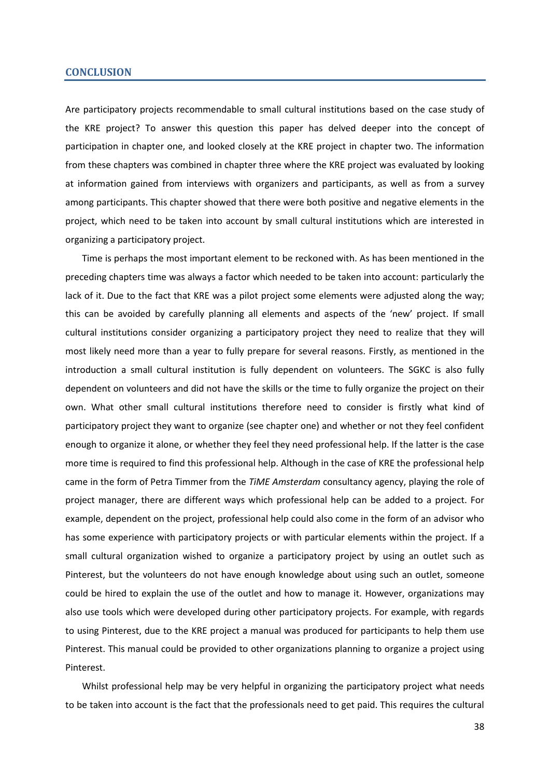#### <span id="page-38-0"></span>**CONCLUSION**

Are participatory projects recommendable to small cultural institutions based on the case study of the KRE project? To answer this question this paper has delved deeper into the concept of participation in chapter one, and looked closely at the KRE project in chapter two. The information from these chapters was combined in chapter three where the KRE project was evaluated by looking at information gained from interviews with organizers and participants, as well as from a survey among participants. This chapter showed that there were both positive and negative elements in the project, which need to be taken into account by small cultural institutions which are interested in organizing a participatory project.

Time is perhaps the most important element to be reckoned with. As has been mentioned in the preceding chapters time was always a factor which needed to be taken into account: particularly the lack of it. Due to the fact that KRE was a pilot project some elements were adjusted along the way; this can be avoided by carefully planning all elements and aspects of the 'new' project. If small cultural institutions consider organizing a participatory project they need to realize that they will most likely need more than a year to fully prepare for several reasons. Firstly, as mentioned in the introduction a small cultural institution is fully dependent on volunteers. The SGKC is also fully dependent on volunteers and did not have the skills or the time to fully organize the project on their own. What other small cultural institutions therefore need to consider is firstly what kind of participatory project they want to organize (see chapter one) and whether or not they feel confident enough to organize it alone, or whether they feel they need professional help. If the latter is the case more time is required to find this professional help. Although in the case of KRE the professional help came in the form of Petra Timmer from the *TiME Amsterdam* consultancy agency, playing the role of project manager, there are different ways which professional help can be added to a project. For example, dependent on the project, professional help could also come in the form of an advisor who has some experience with participatory projects or with particular elements within the project. If a small cultural organization wished to organize a participatory project by using an outlet such as Pinterest, but the volunteers do not have enough knowledge about using such an outlet, someone could be hired to explain the use of the outlet and how to manage it. However, organizations may also use tools which were developed during other participatory projects. For example, with regards to using Pinterest, due to the KRE project a manual was produced for participants to help them use Pinterest. This manual could be provided to other organizations planning to organize a project using Pinterest.

Whilst professional help may be very helpful in organizing the participatory project what needs to be taken into account is the fact that the professionals need to get paid. This requires the cultural

38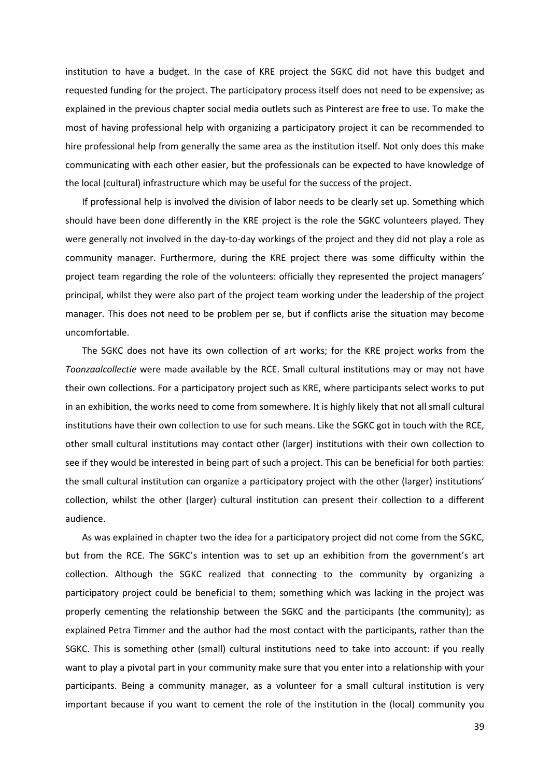institution to have a budget. In the case of KRE project the SGKC did not have this budget and requested funding for the project. The participatory process itself does not need to be expensive; as explained in the previous chapter social media outlets such as Pinterest are free to use. To make the most of having professional help with organizing a participatory project it can be recommended to hire professional help from generally the same area as the institution itself. Not only does this make communicating with each other easier, but the professionals can be expected to have knowledge of the local (cultural) infrastructure which may be useful for the success of the project.

If professional help is involved the division of labor needs to be clearly set up. Something which should have been done differently in the KRE project is the role the SGKC volunteers played. They were generally not involved in the day-to-day workings of the project and they did not play a role as community manager. Furthermore, during the KRE project there was some difficulty within the project team regarding the role of the volunteers: officially they represented the project managers' principal, whilst they were also part of the project team working under the leadership of the project manager. This does not need to be problem per se, but if conflicts arise the situation may become uncomfortable.

The SGKC does not have its own collection of art works; for the KRE project works from the *Toonzaalcollectie* were made available by the RCE. Small cultural institutions may or may not have their own collections. For a participatory project such as KRE, where participants select works to put in an exhibition, the works need to come from somewhere. It is highly likely that not all small cultural institutions have their own collection to use for such means. Like the SGKC got in touch with the RCE, other small cultural institutions may contact other (larger) institutions with their own collection to see if they would be interested in being part of such a project. This can be beneficial for both parties: the small cultural institution can organize a participatory project with the other (larger) institutions' collection, whilst the other (larger) cultural institution can present their collection to a different audience.

As was explained in chapter two the idea for a participatory project did not come from the SGKC, but from the RCE. The SGKC's intention was to set up an exhibition from the government's art collection. Although the SGKC realized that connecting to the community by organizing a participatory project could be beneficial to them; something which was lacking in the project was properly cementing the relationship between the SGKC and the participants (the community); as explained Petra Timmer and the author had the most contact with the participants, rather than the SGKC. This is something other (small) cultural institutions need to take into account: if you really want to play a pivotal part in your community make sure that you enter into a relationship with your participants. Being a community manager, as a volunteer for a small cultural institution is very important because if you want to cement the role of the institution in the (local) community you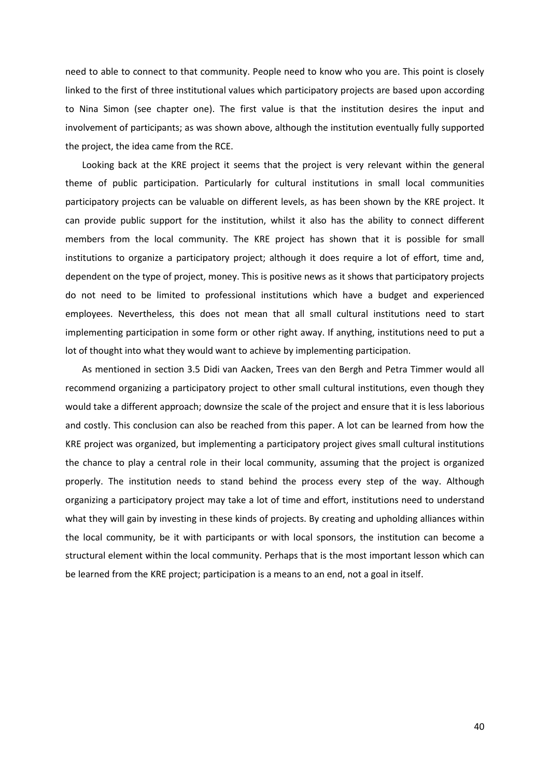need to able to connect to that community. People need to know who you are. This point is closely linked to the first of three institutional values which participatory projects are based upon according to Nina Simon (see chapter one). The first value is that the institution desires the input and involvement of participants; as was shown above, although the institution eventually fully supported the project, the idea came from the RCE.

Looking back at the KRE project it seems that the project is very relevant within the general theme of public participation. Particularly for cultural institutions in small local communities participatory projects can be valuable on different levels, as has been shown by the KRE project. It can provide public support for the institution, whilst it also has the ability to connect different members from the local community. The KRE project has shown that it is possible for small institutions to organize a participatory project; although it does require a lot of effort, time and, dependent on the type of project, money. This is positive news as it shows that participatory projects do not need to be limited to professional institutions which have a budget and experienced employees. Nevertheless, this does not mean that all small cultural institutions need to start implementing participation in some form or other right away. If anything, institutions need to put a lot of thought into what they would want to achieve by implementing participation.

As mentioned in section 3.5 Didi van Aacken, Trees van den Bergh and Petra Timmer would all recommend organizing a participatory project to other small cultural institutions, even though they would take a different approach; downsize the scale of the project and ensure that it is less laborious and costly. This conclusion can also be reached from this paper. A lot can be learned from how the KRE project was organized, but implementing a participatory project gives small cultural institutions the chance to play a central role in their local community, assuming that the project is organized properly. The institution needs to stand behind the process every step of the way. Although organizing a participatory project may take a lot of time and effort, institutions need to understand what they will gain by investing in these kinds of projects. By creating and upholding alliances within the local community, be it with participants or with local sponsors, the institution can become a structural element within the local community. Perhaps that is the most important lesson which can be learned from the KRE project; participation is a means to an end, not a goal in itself.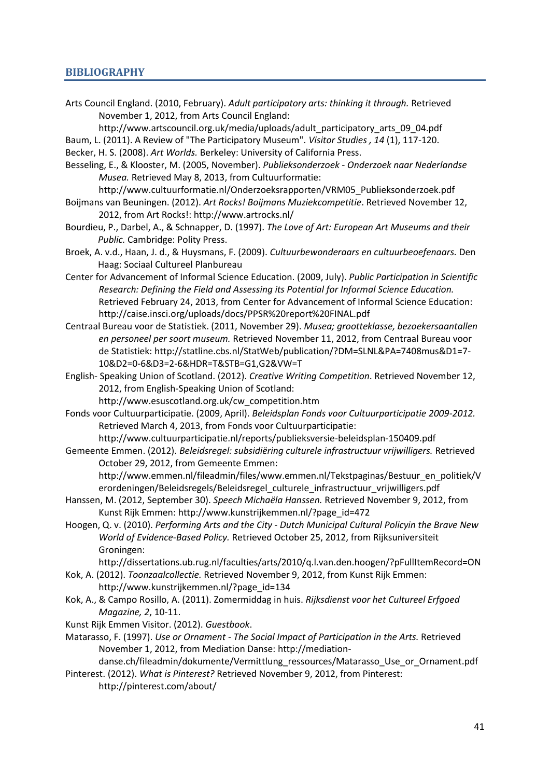## <span id="page-41-0"></span>**BIBLIOGRAPHY**

Arts Council England. (2010, February). *Adult participatory arts: thinking it through.* Retrieved November 1, 2012, from Arts Council England:

http://www.artscouncil.org.uk/media/uploads/adult\_participatory\_arts\_09\_04.pdf

Baum, L. (2011). A Review of "The Participatory Museum". *Visitor Studies , 14* (1), 117-120. Becker, H. S. (2008). *Art Worlds.* Berkeley: University of California Press.

- Besseling, E., & Klooster, M. (2005, November). *Publieksonderzoek - Onderzoek naar Nederlandse Musea.* Retrieved May 8, 2013, from Cultuurformatie:
- http://www.cultuurformatie.nl/Onderzoeksrapporten/VRM05\_Publieksonderzoek.pdf Boijmans van Beuningen. (2012). *Art Rocks! Boijmans Muziekcompetitie*. Retrieved November 12, 2012, from Art Rocks!: http://www.artrocks.nl/
- Bourdieu, P., Darbel, A., & Schnapper, D. (1997). *The Love of Art: European Art Museums and their Public.* Cambridge: Polity Press.

Broek, A. v.d., Haan, J. d., & Huysmans, F. (2009). *Cultuurbewonderaars en cultuurbeoefenaars.* Den Haag: Sociaal Cultureel Planbureau

- Center for Advancement of Informal Science Education. (2009, July). *Public Participation in Scientific Research: Defining the Field and Assessing its Potential for Informal Science Education.* Retrieved February 24, 2013, from Center for Advancement of Informal Science Education: http://caise.insci.org/uploads/docs/PPSR%20report%20FINAL.pdf
- Centraal Bureau voor de Statistiek. (2011, November 29). *Musea; grootteklasse, bezoekersaantallen en personeel per soort museum.* Retrieved November 11, 2012, from Centraal Bureau voor de Statistiek: http://statline.cbs.nl/StatWeb/publication/?DM=SLNL&PA=7408mus&D1=7- 10&D2=0-6&D3=2-6&HDR=T&STB=G1,G2&VW=T
- English- Speaking Union of Scotland. (2012). *Creative Writing Competition*. Retrieved November 12, 2012, from English-Speaking Union of Scotland: http://www.esuscotland.org.uk/cw\_competition.htm

Fonds voor Cultuurparticipatie. (2009, April). *Beleidsplan Fonds voor Cultuurparticipatie 2009-2012.* Retrieved March 4, 2013, from Fonds voor Cultuurparticipatie:

http://www.cultuurparticipatie.nl/reports/publieksversie-beleidsplan-150409.pdf

Gemeente Emmen. (2012). *Beleidsregel: subsidiëring culturele infrastructuur vrijwilligers.* Retrieved October 29, 2012, from Gemeente Emmen:

http://www.emmen.nl/fileadmin/files/www.emmen.nl/Tekstpaginas/Bestuur\_en\_politiek/V erordeningen/Beleidsregels/Beleidsregel\_culturele\_infrastructuur\_vrijwilligers.pdf

- Hanssen, M. (2012, September 30). *Speech Michaëla Hanssen.* Retrieved November 9, 2012, from Kunst Rijk Emmen: http://www.kunstrijkemmen.nl/?page\_id=472
- Hoogen, Q. v. (2010). *Performing Arts and the City - Dutch Municipal Cultural Policyin the Brave New World of Evidence-Based Policy.* Retrieved October 25, 2012, from Rijksuniversiteit Groningen:

http://dissertations.ub.rug.nl/faculties/arts/2010/q.l.van.den.hoogen/?pFullItemRecord=ON

- Kok, A. (2012). *Toonzaalcollectie.* Retrieved November 9, 2012, from Kunst Rijk Emmen: http://www.kunstrijkemmen.nl/?page\_id=134
- Kok, A., & Campo Rosillo, A. (2011). Zomermiddag in huis. *Rijksdienst voor het Cultureel Erfgoed Magazine, 2*, 10-11.

Kunst Rijk Emmen Visitor. (2012). *Guestbook*.

Matarasso, F. (1997). *Use or Ornament - The Social Impact of Participation in the Arts.* Retrieved November 1, 2012, from Mediation Danse: http://mediation-

danse.ch/fileadmin/dokumente/Vermittlung\_ressources/Matarasso\_Use\_or\_Ornament.pdf Pinterest. (2012). *What is Pinterest?* Retrieved November 9, 2012, from Pinterest:

http://pinterest.com/about/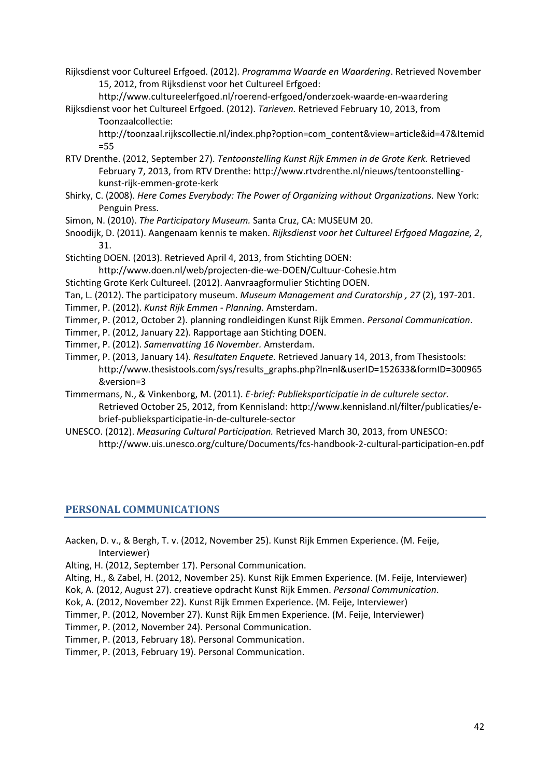Rijksdienst voor Cultureel Erfgoed. (2012). *Programma Waarde en Waardering*. Retrieved November 15, 2012, from Rijksdienst voor het Cultureel Erfgoed:

http://www.cultureelerfgoed.nl/roerend-erfgoed/onderzoek-waarde-en-waardering Rijksdienst voor het Cultureel Erfgoed. (2012). *Tarieven.* Retrieved February 10, 2013, from

Toonzaalcollectie: http://toonzaal.rijkscollectie.nl/index.php?option=com\_content&view=article&id=47&Itemid =55

- RTV Drenthe. (2012, September 27). *Tentoonstelling Kunst Rijk Emmen in de Grote Kerk.* Retrieved February 7, 2013, from RTV Drenthe: http://www.rtvdrenthe.nl/nieuws/tentoonstellingkunst-rijk-emmen-grote-kerk
- Shirky, C. (2008). *Here Comes Everybody: The Power of Organizing without Organizations.* New York: Penguin Press.
- Simon, N. (2010). *The Participatory Museum.* Santa Cruz, CA: MUSEUM 20.
- Snoodijk, D. (2011). Aangenaam kennis te maken. *Rijksdienst voor het Cultureel Erfgoed Magazine, 2*, 31.
- Stichting DOEN. (2013). Retrieved April 4, 2013, from Stichting DOEN: http://www.doen.nl/web/projecten-die-we-DOEN/Cultuur-Cohesie.htm
- Stichting Grote Kerk Cultureel. (2012). Aanvraagformulier Stichting DOEN.
- Tan, L. (2012). The participatory museum. *Museum Management and Curatorship , 27* (2), 197-201.
- Timmer, P. (2012). *Kunst Rijk Emmen - Planning.* Amsterdam.
- Timmer, P. (2012, October 2). planning rondleidingen Kunst Rijk Emmen. *Personal Communication*.
- Timmer, P. (2012, January 22). Rapportage aan Stichting DOEN.
- Timmer, P. (2012). *Samenvatting 16 November.* Amsterdam.
- Timmer, P. (2013, January 14). *Resultaten Enquete.* Retrieved January 14, 2013, from Thesistools: http://www.thesistools.com/sys/results\_graphs.php?ln=nl&userID=152633&formID=300965 &version=3
- Timmermans, N., & Vinkenborg, M. (2011). *E-brief: Publieksparticipatie in de culturele sector.* Retrieved October 25, 2012, from Kennisland: http://www.kennisland.nl/filter/publicaties/ebrief-publieksparticipatie-in-de-culturele-sector
- UNESCO. (2012). *Measuring Cultural Participation.* Retrieved March 30, 2013, from UNESCO: http://www.uis.unesco.org/culture/Documents/fcs-handbook-2-cultural-participation-en.pdf

# <span id="page-42-0"></span>**PERSONAL COMMUNICATIONS**

- Aacken, D. v., & Bergh, T. v. (2012, November 25). Kunst Rijk Emmen Experience. (M. Feije, Interviewer)
- Alting, H. (2012, September 17). Personal Communication.
- Alting, H., & Zabel, H. (2012, November 25). Kunst Rijk Emmen Experience. (M. Feije, Interviewer)
- Kok, A. (2012, August 27). creatieve opdracht Kunst Rijk Emmen. *Personal Communication*.
- Kok, A. (2012, November 22). Kunst Rijk Emmen Experience. (M. Feije, Interviewer)
- Timmer, P. (2012, November 27). Kunst Rijk Emmen Experience. (M. Feije, Interviewer)
- Timmer, P. (2012, November 24). Personal Communication.
- Timmer, P. (2013, February 18). Personal Communication.
- Timmer, P. (2013, February 19). Personal Communication.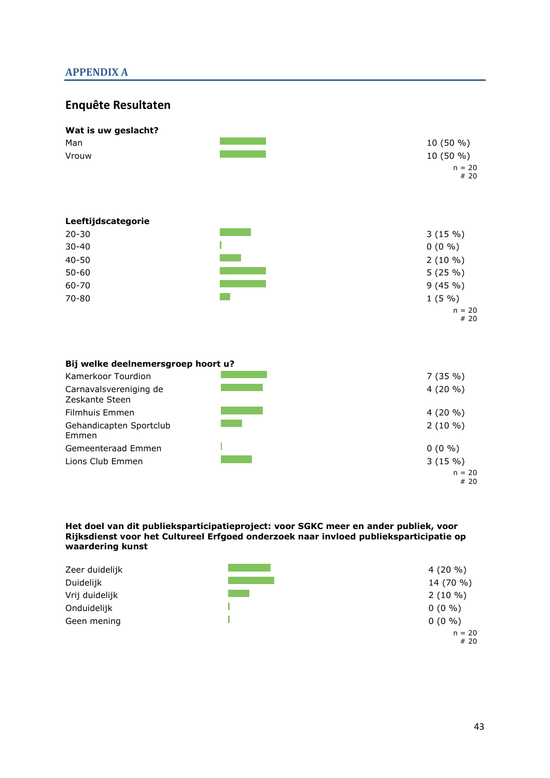# <span id="page-43-0"></span>**APPENDIX A**

# **Enquête Resultaten**

| Wat is uw geslacht?                |                  |
|------------------------------------|------------------|
| Man                                | 10 (50 %)        |
| Vrouw                              | 10 (50 %)        |
|                                    | $n = 20$<br># 20 |
| Leeftijdscategorie                 |                  |
| $20 - 30$                          | 3(15%)           |
| $30 - 40$                          | $0(0\% )$        |
| $40 - 50$                          | $2(10\%)$        |
| $50 - 60$                          | 5(25%)           |
| 60-70                              | 9(45%)           |
| 70-80                              | 1(5%)            |
|                                    | $n = 20$<br>#20  |
|                                    |                  |
| Bij welke deelnemersgroep hoort u? |                  |
| Kamerkoor Tourdion                 | 7(35%)           |

| Carnavalsvereniging de<br>Zeskante Steen | $4(20\% )$ |
|------------------------------------------|------------|
| Filmhuis Emmen                           | $4(20\% )$ |
| Gehandicapten Sportclub<br>Emmen         | $2(10\%)$  |
| Gemeenteraad Emmen                       | $0(0\% )$  |
| Lions Club Emmen                         | 3(15%)     |
|                                          | $n = 20$   |

**Het doel van dit publieksparticipatieproject: voor SGKC meer en ander publiek, voor Rijksdienst voor het Cultureel Erfgoed onderzoek naar invloed publieksparticipatie op waardering kunst**

| Zeer duidelijk | $4(20\% )$ |
|----------------|------------|
| Duidelijk      | 14 (70 %)  |
| Vrij duidelijk | $2(10\%)$  |
| Onduidelijk    | $0(0\% )$  |
| Geen mening    | $0(0\% )$  |
|                | $n = 20$   |

# 20

# 20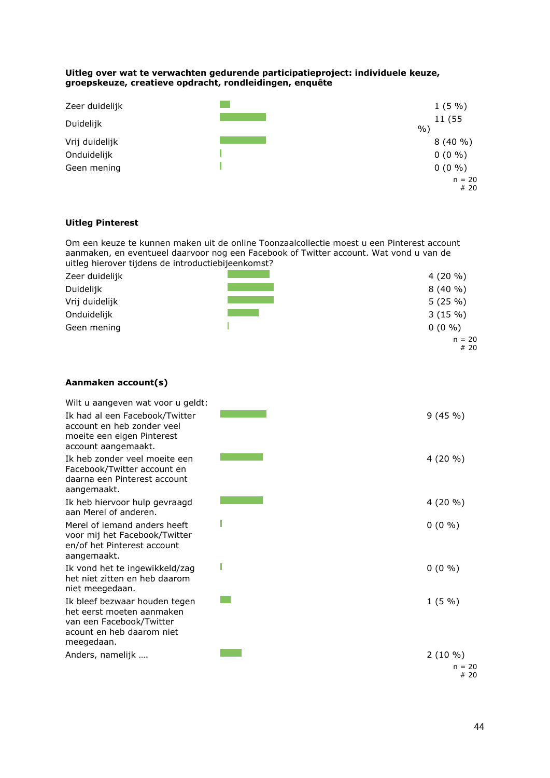#### **Uitleg over wat te verwachten gedurende participatieproject: individuele keuze, groepskeuze, creatieve opdracht, rondleidingen, enquête**

| Zeer duidelijk | 1(5%)           |
|----------------|-----------------|
| Duidelijk      | 11 (55<br>$\%$  |
| Vrij duidelijk | 8(40%           |
| Onduidelijk    | $0(0\% )$       |
| Geen mening    | $0(0\% )$       |
|                | $n = 20$<br>#20 |

## **Uitleg Pinterest**

Om een keuze te kunnen maken uit de online Toonzaalcollectie moest u een Pinterest account aanmaken, en eventueel daarvoor nog een Facebook of Twitter account. Wat vond u van de uitleg hierover tijdens de introductiebijeenkomst?

| Zeer duidelijk | $4(20\% )$ |
|----------------|------------|
| Duidelijk      | 8(40%      |
| Vrij duidelijk | 5(25%)     |
| Onduidelijk    | 3(15%)     |
| Geen mening    | $0(0\% )$  |
|                | $n = 20$   |
|                | #20        |

## **Aanmaken account(s)**

| Wilt u aangeven wat voor u geldt:                                                                                                 |                              |
|-----------------------------------------------------------------------------------------------------------------------------------|------------------------------|
| Ik had al een Facebook/Twitter<br>account en heb zonder yeel<br>moeite een eigen Pinterest<br>account aangemaakt.                 | 9(45%)                       |
| Ik heb zonder veel moeite een<br>Facebook/Twitter account en<br>daarna een Pinterest account<br>aangemaakt.                       | $4(20\% )$                   |
| Ik heb hiervoor hulp gevraagd<br>aan Merel of anderen.                                                                            | 4 (20 %)                     |
| Merel of jemand anders heeft<br>voor mij het Facebook/Twitter<br>en/of het Pinterest account<br>aangemaakt.                       | $0(0\% )$                    |
| Ik vond het te ingewikkeld/zag<br>het niet zitten en heb daarom<br>niet meegedaan.                                                | $0(0\% )$                    |
| Ik bleef bezwaar houden tegen<br>het eerst moeten aanmaken<br>van een Facebook/Twitter<br>acount en heb daarom niet<br>meegedaan. | $1(5\%)$                     |
| Anders, namelijk                                                                                                                  | $2(10\%)$<br>$n = 20$<br>#20 |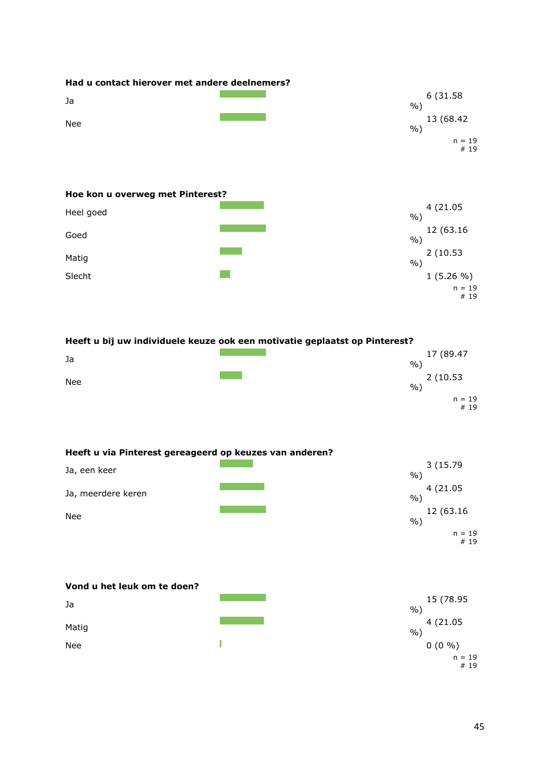

| Heeft u bij uw individuele keuze ook een motivatie geplaatst op Pinterest? |      |                 |  |
|----------------------------------------------------------------------------|------|-----------------|--|
| Ja                                                                         | $\%$ | 17 (89.47       |  |
| Nee                                                                        | $\%$ | 2 (10.53)       |  |
|                                                                            |      | $n = 19$<br>#19 |  |

| Heeft u via Pinterest gereageerd op keuzes van anderen? |        |                 |
|---------------------------------------------------------|--------|-----------------|
| Ja, een keer                                            | $\%$ ) | 3(15.79)        |
| Ja, meerdere keren                                      | $\%$ ) | 4 (21.05)       |
| Nee                                                     | $\%$   | 12 (63.16)      |
|                                                         |        | $n = 19$<br>#19 |

| Vond u het leuk om te doen? |                     |
|-----------------------------|---------------------|
| Ja                          | 15 (78.95<br>$\%$ ) |
| Matig                       | 4 (21.05<br>$\%$    |
| <b>Nee</b>                  | $0(0\% )$           |
|                             | $n = 19$<br>#19     |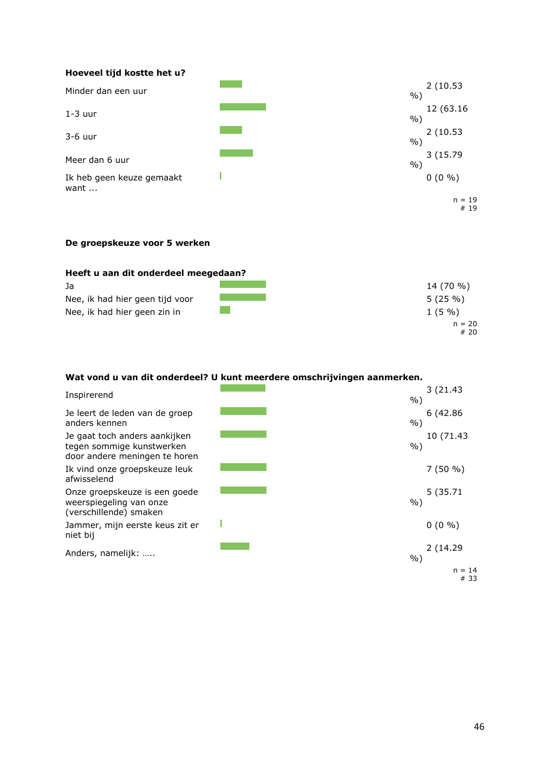#### **Hoeveel tijd kostte het u?** Minder dan een uur 2 (10.53 %) 1-3 uur 12 (63.16  $\frac{12}{9}$  (63.16  $\frac{12}{9}$ )  $\frac{0}{0}$  $3-6$  uur 2 (10.53 %)  $\mathcal{L}(\mathcal{L}^{\mathcal{L}})$  and  $\mathcal{L}^{\mathcal{L}}$ 3 (15.79 Meer dan 6 uur %)  $\mathbf{I}$ Ik heb geen keuze gemaakt  $0(0\% )$ want ...  $n = 19$ # 19

## **De groepskeuze voor 5 werken**

| 14 (70 %)       |
|-----------------|
| 5(25%)          |
| $1(5\%$         |
| $n = 20$<br>#20 |
|                 |

## **Wat vond u van dit onderdeel? U kunt meerdere omschrijvingen aanmerken.**

| Inspirerend                                                                                 | $\%$ ) | 3(21.43)         |
|---------------------------------------------------------------------------------------------|--------|------------------|
| Je leert de leden van de groep<br>anders kennen                                             | $%$ )  | 6 (42.86)        |
| Je gaat toch anders aankijken<br>tegen sommige kunstwerken<br>door andere meningen te horen | $%$ )  | 10 (71.43        |
| Ik vind onze groepskeuze leuk<br>afwisselend                                                |        | $7(50\% )$       |
| Onze groepskeuze is een goede<br>weerspiegeling van onze<br>(verschillende) smaken          | $%$ )  | 5 (35.71         |
| Jammer, mijn eerste keus zit er<br>niet bij                                                 |        | $0(0\% )$        |
| Anders, namelijk:                                                                           | $%$ )  | 2(14.29)         |
|                                                                                             |        | $n = 14$<br># 33 |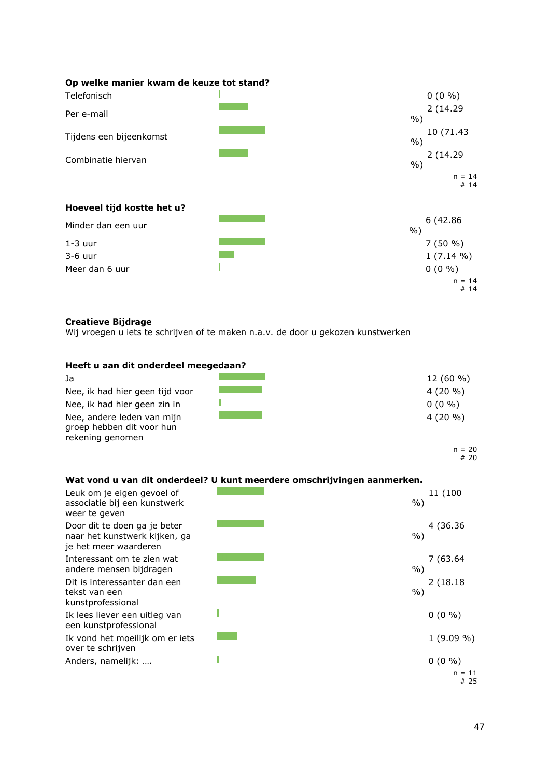| Op welke manier kwam de keuze tot stand? |        |                 |
|------------------------------------------|--------|-----------------|
| Telefonisch                              |        | $0(0\% )$       |
| Per e-mail                               | $%$ )  | 2(14.29         |
| Tijdens een bijeenkomst                  | $%$ )  | 10 (71.43       |
| Combinatie hiervan                       | $\%$ ) | 2(14.29)        |
|                                          |        | $n = 14$<br>#14 |
| Hoeveel tijd kostte het u?               |        |                 |
| Minder dan een uur                       | $\%$ ) | 6 (42.86)       |
| $1-3$ uur                                |        | $7(50\%)$       |
| $3-6$ uur                                |        | $1(7.14\%)$     |
| Meer dan 6 uur                           |        | $0(0\% )$       |
|                                          |        | $n = 14$<br>#14 |

# **Creatieve Bijdrage**

Wij vroegen u iets te schrijven of te maken n.a.v. de door u gekozen kunstwerken

#### **Heeft u aan dit onderdeel meegedaan?**

| Ja                                                                          | $12(60\% )$ |
|-----------------------------------------------------------------------------|-------------|
| Nee, ik had hier geen tijd voor                                             | $4(20\% )$  |
| Nee, ik had hier geen zin in                                                | $0(0\% )$   |
| Nee, andere leden van mijn<br>groep hebben dit voor hun<br>rekening genomen | $4(20\% )$  |

 $n = 20$ # 20

## **Wat vond u van dit onderdeel? U kunt meerdere omschrijvingen aanmerken.**

| Leuk om je eigen gevoel of<br>associatie bij een kunstwerk<br>weer te geven            | 11 (100<br>%)                |
|----------------------------------------------------------------------------------------|------------------------------|
| Door dit te doen ga je beter<br>naar het kunstwerk kijken, ga<br>je het meer waarderen | 4 (36.36)<br>$\%$            |
| Interessant om te zien wat<br>andere mensen bijdragen                                  | 7 (63.64<br>$\%$             |
| Dit is interessanter dan een<br>tekst van een<br>kunstprofessional                     | 2(18.18)<br>$\%$             |
| Ik lees liever een uitleg van<br>een kunstprofessional                                 | $0(0\% )$                    |
| Ik vond het moeilijk om er iets<br>over te schrijven                                   | $1(9.09\% )$                 |
| Anders, namelijk:                                                                      | $0(0\% )$<br>$n = 11$<br>#25 |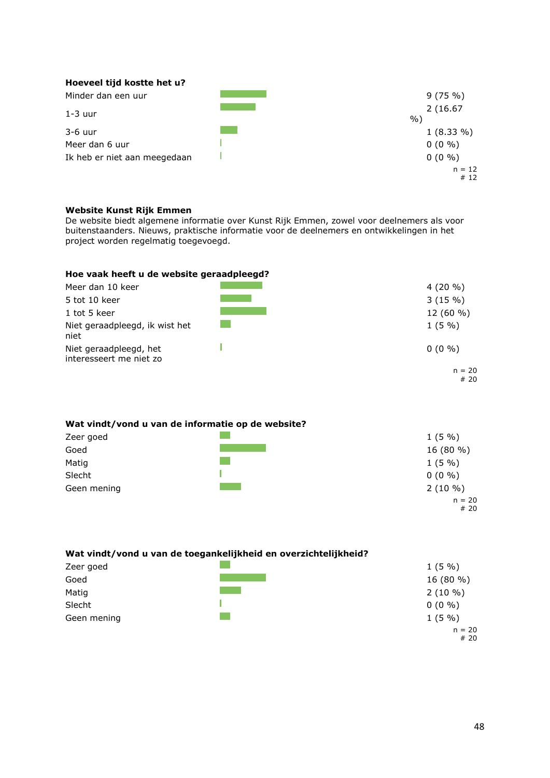| Hoeveel tijd kostte het u?   |                   |
|------------------------------|-------------------|
| Minder dan een uur           | 9(75%)            |
| $1-3$ uur                    | 2(16.67)<br>$%$ ) |
| $3-6$ uur                    | $1(8.33\%)$       |
| Meer dan 6 uur               | $0(0\% )$         |
| Ik heb er niet aan meegedaan | $0(0\% )$         |
|                              | $n = 12$          |
|                              | #12               |

## **Website Kunst Rijk Emmen**

De website biedt algemene informatie over Kunst Rijk Emmen, zowel voor deelnemers als voor buitenstaanders. Nieuws, praktische informatie voor de deelnemers en ontwikkelingen in het project worden regelmatig toegevoegd.

## **Hoe vaak heeft u de website geraadpleegd?**

| Meer dan 10 keer                                  | $4(20\% )$      |
|---------------------------------------------------|-----------------|
| 5 tot 10 keer                                     | 3(15%)          |
| 1 tot 5 keer                                      | $12(60\% )$     |
| Niet geraadpleegd, ik wist het<br>niet            | $1(5\%)$        |
| Niet geraadpleegd, het<br>interesseert me niet zo | $0(0\% )$       |
|                                                   | $n = 20$<br>#20 |

#### **Wat vindt/vond u van de informatie op de website?**

| Zeer goed   | $1(5\%)$        |
|-------------|-----------------|
| Goed        | 16 (80 %)       |
| Matig       | $1(5\%)$        |
| Slecht      | $0(0\% )$       |
| Geen mening | $2(10\%)$       |
|             | $n = 20$<br>#20 |

# **Wat vindt/vond u van de toegankelijkheid en overzichtelijkheid?**

| Zeer goed   | $1(5\%)$  |
|-------------|-----------|
| Goed        | 16 (80 %) |
| Matig       | $2(10\%)$ |
| Slecht      | $0(0\% )$ |
| Geen mening | $1(5\%)$  |
|             | $n = 20$  |

# 20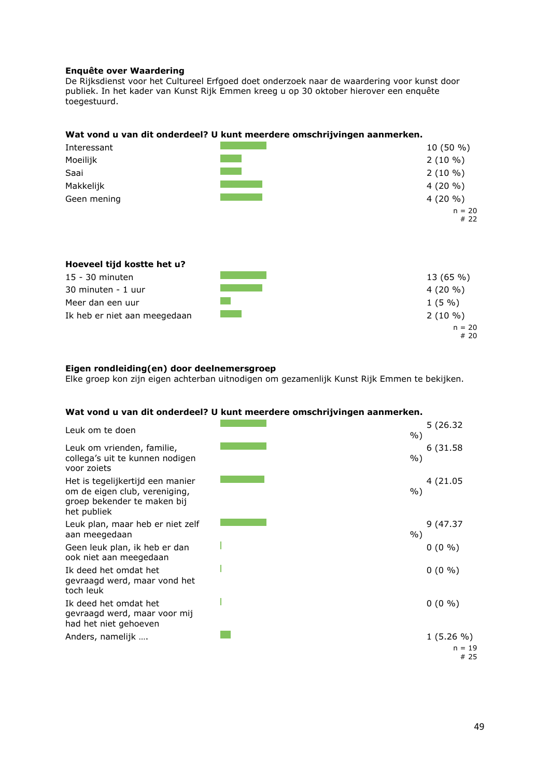## **Enquête over Waardering**

De Rijksdienst voor het Cultureel Erfgoed doet onderzoek naar de waardering voor kunst door publiek. In het kader van Kunst Rijk Emmen kreeg u op 30 oktober hierover een enquête toegestuurd.

## **Wat vond u van dit onderdeel? U kunt meerdere omschrijvingen aanmerken.**

| Interessant                                   | 10 (50 %)               |
|-----------------------------------------------|-------------------------|
| Moeilijk                                      | $2(10\%)$               |
| Saai                                          | $2(10\%)$               |
| Makkelijk                                     | $4(20\% )$              |
| Geen mening                                   | $4(20\% )$              |
|                                               | $n = 20$<br># 22        |
| Hoeveel tijd kostte het u?<br>15 - 30 minuten |                         |
| 30 minuten - 1 uur                            | 13 (65 %)<br>$4(20\% )$ |
|                                               |                         |
| Meer dan een uur                              | 1(5%)                   |
| Ik heb er niet aan meegedaan                  | $2(10\%)$               |
|                                               | $n = 20$<br># 20        |

## **Eigen rondleiding(en) door deelnemersgroep**

Elke groep kon zijn eigen achterban uitnodigen om gezamenlijk Kunst Rijk Emmen te bekijken.

## **Wat vond u van dit onderdeel? U kunt meerdere omschrijvingen aanmerken.**

| Leuk om te doen                                                                                                 | 5 (26.32)<br>$\%$ ) |
|-----------------------------------------------------------------------------------------------------------------|---------------------|
| Leuk om vrienden, familie,<br>collega's uit te kunnen nodigen<br>voor zoiets                                    | 6 (31.58)<br>$%$ )  |
| Het is tegelijkertijd een manier<br>om de eigen club, vereniging,<br>groep bekender te maken bij<br>het publiek | 4 (21.05<br>$\%$ )  |
| Leuk plan, maar heb er niet zelf<br>aan meegedaan                                                               | 9 (47.37<br>$\%$ )  |
| Geen leuk plan, ik heb er dan<br>ook niet aan meegedaan                                                         | $0(0\% )$           |
| Ik deed het omdat het<br>gevraagd werd, maar vond het<br>toch leuk                                              | $0(0\% )$           |
| Ik deed het omdat het<br>gevraagd werd, maar voor mij<br>had het niet gehoeven                                  | $0(0\% )$           |
| Anders, namelijk                                                                                                | $1(5.26\% )$        |
|                                                                                                                 | $n = 19$<br># 25    |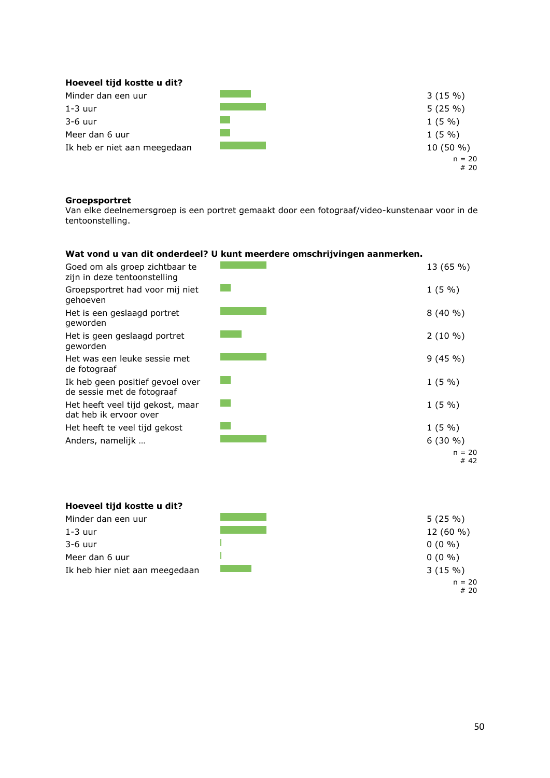| Hoeveel tijd kostte u dit?   |                 |
|------------------------------|-----------------|
| Minder dan een uur           | 3(15%)          |
| $1-3$ uur                    | 5(25%)          |
| $3-6$ uur                    | $1(5\%)$        |
| Meer dan 6 uur               | $1(5\%)$        |
| Ik heb er niet aan meegedaan | $10(50\%)$      |
|                              | $n = 20$<br>#20 |

## **Groepsportret**

Van elke deelnemersgroep is een portret gemaakt door een fotograaf/video-kunstenaar voor in de tentoonstelling.

## **Wat vond u van dit onderdeel? U kunt meerdere omschrijvingen aanmerken.**

| Goed om als groep zichtbaar te<br>zijn in deze tentoonstelling | 13 (65 %)       |
|----------------------------------------------------------------|-----------------|
| Groepsportret had voor mij niet<br>gehoeven                    | $1(5\%)$        |
| Het is een geslaagd portret<br>geworden                        | $8(40\% )$      |
| Het is geen geslaagd portret<br>geworden                       | $2(10\%)$       |
| Het was een leuke sessie met<br>de fotograaf                   | 9(45%)          |
| Ik heb geen positief gevoel over<br>de sessie met de fotograaf | 1(5%)           |
| Het heeft veel tijd gekost, maar<br>dat heb ik ervoor over     | $1(5\%)$        |
| Het heeft te veel tijd gekost                                  | $1(5\%)$        |
| Anders, namelijk                                               | $6(30\%)$       |
|                                                                | $n = 20$<br>#42 |

| Hoeveel tijd kostte u dit?     |             |
|--------------------------------|-------------|
| Minder dan een uur             | 5(25%)      |
| 1-3 uur                        | $12(60\% )$ |
| $3-6$ uur                      | $0(0\% )$   |
| Meer dan 6 uur                 | $0(0\% )$   |
| Ik heb hier niet aan meegedaan | 3(15%)      |
|                                | $n = 20$    |

# 20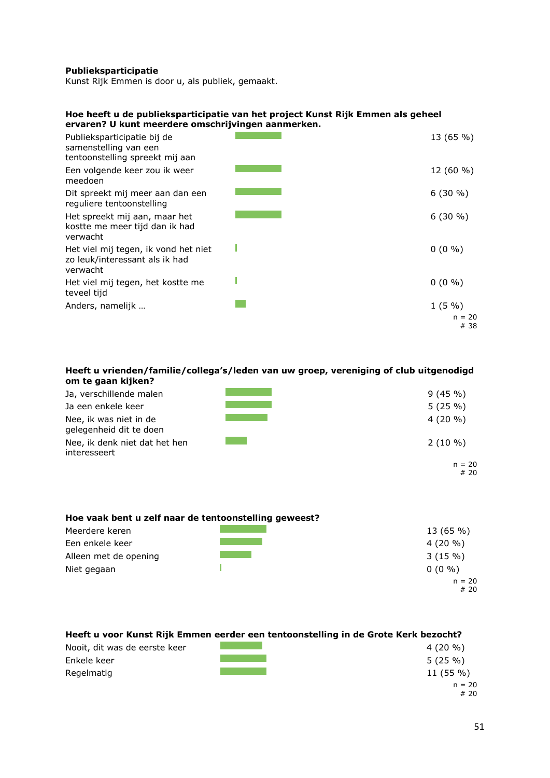#### **Publieksparticipatie**

Kunst Rijk Emmen is door u, als publiek, gemaakt.

#### **Hoe heeft u de publieksparticipatie van het project Kunst Rijk Emmen als geheel ervaren? U kunt meerdere omschrijvingen aanmerken.**

| Publieksparticipatie bij de<br>samenstelling van een<br>tentoonstelling spreekt mij aan | 13 (65 %)                 |
|-----------------------------------------------------------------------------------------|---------------------------|
| Een volgende keer zou ik weer<br>meedoen                                                | $12(60\%)$                |
| Dit spreekt mij meer aan dan een<br>reguliere tentoonstelling                           | $6(30\% )$                |
| Het spreekt mij aan, maar het<br>kostte me meer tijd dan ik had<br>verwacht             | $6(30\% )$                |
| Het viel mij tegen, ik vond het niet<br>zo leuk/interessant als ik had<br>verwacht      | $0(0\% )$                 |
| Het viel mij tegen, het kostte me<br>teveel tijd                                        | $0(0\% )$                 |
| Anders, namelijk                                                                        | 1(5%)<br>$n = 20$<br># 38 |

#### **Heeft u vrienden/familie/collega's/leden van uw groep, vereniging of club uitgenodigd om te gaan kijken?**

| Ja, verschillende malen                           | 9(45%)          |
|---------------------------------------------------|-----------------|
| Ja een enkele keer                                | 5(25%)          |
| Nee, ik was niet in de<br>gelegenheid dit te doen | $4(20\% )$      |
| Nee, ik denk niet dat het hen<br>interesseert     | $2(10\%)$       |
|                                                   | $n = 20$<br>#20 |

## **Hoe vaak bent u zelf naar de tentoonstelling geweest?**

| Meerdere keren        | 13 (65 %)  |
|-----------------------|------------|
| Een enkele keer       | $4(20\% )$ |
| Alleen met de opening | 3(15%)     |
| Niet gegaan           | $0(0\% )$  |
|                       | $n = 20$   |
|                       | #20        |

#### **Heeft u voor Kunst Rijk Emmen eerder een tentoonstelling in de Grote Kerk bezocht?**



 $n = 20$ # 20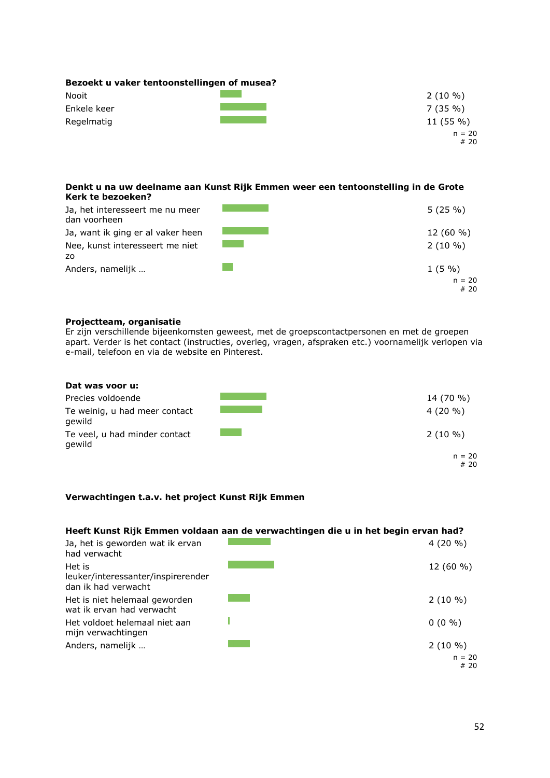| Bezoekt u vaker tentoonstellingen of musea? |                 |
|---------------------------------------------|-----------------|
| <b>Nooit</b>                                | $2(10\% )$      |
| Enkele keer                                 | 7(35%)          |
| Regelmatig                                  | $11(55\%)$      |
|                                             | $n = 20$<br>#20 |

#### **Denkt u na uw deelname aan Kunst Rijk Emmen weer een tentoonstelling in de Grote Kerk te bezoeken?**

| Ja, het interesseert me nu meer<br>dan voorheen | 5(25%)      |
|-------------------------------------------------|-------------|
| Ja, want ik ging er al vaker heen               | $12(60\% )$ |
| Nee, kunst interesseert me niet                 | $2(10\%)$   |
| ZO.                                             |             |
| Anders, namelijk                                | $1(5\% )$   |
|                                                 | $n = 20$    |
|                                                 | #20         |

## **Projectteam, organisatie**

Er zijn verschillende bijeenkomsten geweest, met de groepscontactpersonen en met de groepen apart. Verder is het contact (instructies, overleg, vragen, afspraken etc.) voornamelijk verlopen via e-mail, telefoon en via de website en Pinterest.

| Dat was voor u:                         |                 |
|-----------------------------------------|-----------------|
| Precies voldoende                       | 14 (70 %)       |
| Te weinig, u had meer contact<br>gewild | $4(20\% )$      |
| Te veel, u had minder contact<br>gewild | $2(10\% )$      |
|                                         | $n = 20$<br>#20 |

## **Verwachtingen t.a.v. het project Kunst Rijk Emmen**

## **Heeft Kunst Rijk Emmen voldaan aan de verwachtingen die u in het begin ervan had?**

| Ja, het is geworden wat ik ervan<br>had verwacht                    | $4(20\% )$      |
|---------------------------------------------------------------------|-----------------|
| Het is<br>leuker/interessanter/inspirerender<br>dan ik had verwacht | $12(60\%)$      |
| Het is niet helemaal geworden<br>wat ik ervan had verwacht          | $2(10\%)$       |
| Het voldoet helemaal niet aan<br>mijn verwachtingen                 | $0(0\% )$       |
| Anders, namelijk                                                    | $2(10\%)$       |
|                                                                     | $n = 20$<br>#20 |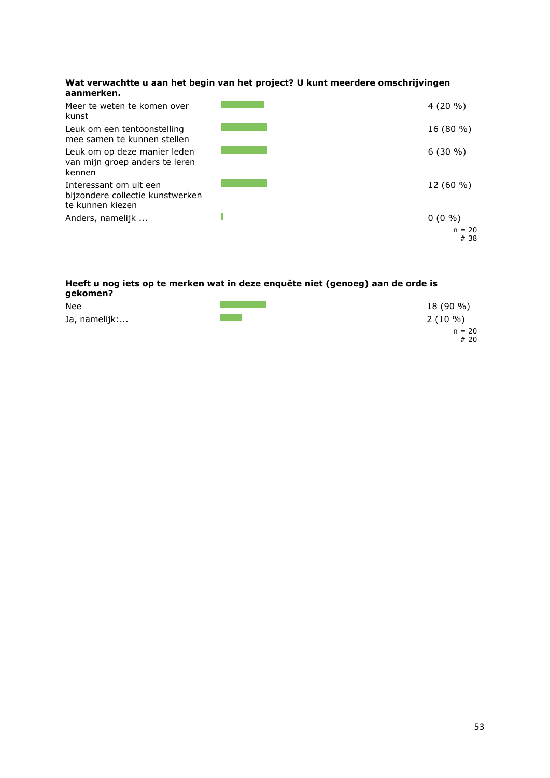#### **Wat verwachtte u aan het begin van het project? U kunt meerdere omschrijvingen aanmerken.**



#### **Heeft u nog iets op te merken wat in deze enquête niet (genoeg) aan de orde is gekomen?**

| Nee           | 18 (90 %) |
|---------------|-----------|
| Ja, namelijk: | $2(10\%)$ |
|               | $n = 20$  |
|               | #20       |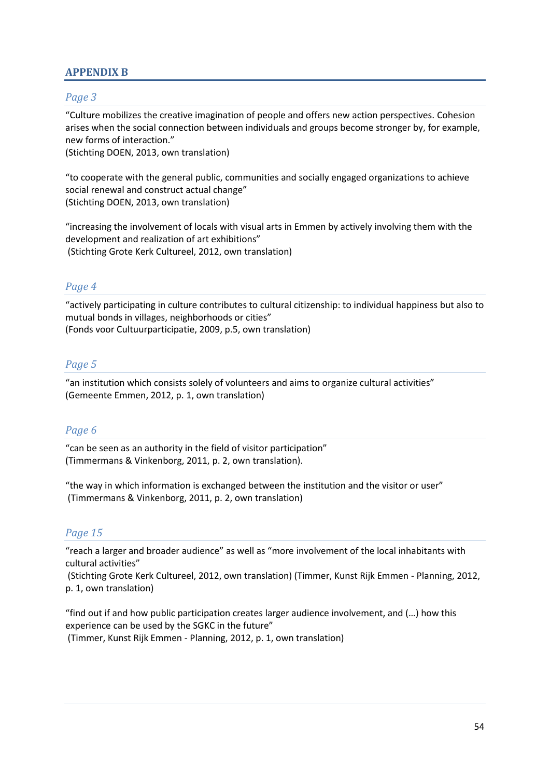# <span id="page-54-0"></span>**APPENDIX B**

# *Page 3*

"Culture mobilizes the creative imagination of people and offers new action perspectives. Cohesion arises when the social connection between individuals and groups become stronger by, for example, new forms of interaction."

(Stichting DOEN, 2013, own translation)

"to cooperate with the general public, communities and socially engaged organizations to achieve social renewal and construct actual change" (Stichting DOEN, 2013, own translation)

"increasing the involvement of locals with visual arts in Emmen by actively involving them with the development and realization of art exhibitions" (Stichting Grote Kerk Cultureel, 2012, own translation)

# *Page 4*

"actively participating in culture contributes to cultural citizenship: to individual happiness but also to mutual bonds in villages, neighborhoods or cities" (Fonds voor Cultuurparticipatie, 2009, p.5, own translation)

# *Page 5*

"an institution which consists solely of volunteers and aims to organize cultural activities" (Gemeente Emmen, 2012, p. 1, own translation)

# *Page 6*

"can be seen as an authority in the field of visitor participation" (Timmermans & Vinkenborg, 2011, p. 2, own translation).

"the way in which information is exchanged between the institution and the visitor or user" (Timmermans & Vinkenborg, 2011, p. 2, own translation)

# *Page 15*

"reach a larger and broader audience" as well as "more involvement of the local inhabitants with cultural activities"

(Stichting Grote Kerk Cultureel, 2012, own translation) (Timmer, Kunst Rijk Emmen - Planning, 2012, p. 1, own translation)

"find out if and how public participation creates larger audience involvement, and (…) how this experience can be used by the SGKC in the future" (Timmer, Kunst Rijk Emmen - Planning, 2012, p. 1, own translation)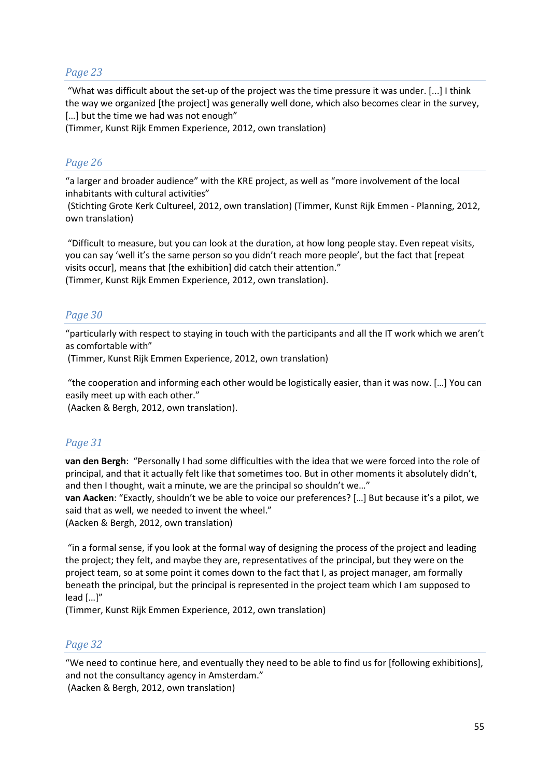# *Page 23*

"What was difficult about the set-up of the project was the time pressure it was under. [...] I think the way we organized [the project] was generally well done, which also becomes clear in the survey, […] but the time we had was not enough"

(Timmer, Kunst Rijk Emmen Experience, 2012, own translation)

# *Page 26*

"a larger and broader audience" with the KRE project, as well as "more involvement of the local inhabitants with cultural activities"

(Stichting Grote Kerk Cultureel, 2012, own translation) (Timmer, Kunst Rijk Emmen - Planning, 2012, own translation)

"Difficult to measure, but you can look at the duration, at how long people stay. Even repeat visits, you can say 'well it's the same person so you didn't reach more people', but the fact that [repeat visits occur], means that [the exhibition] did catch their attention."

(Timmer, Kunst Rijk Emmen Experience, 2012, own translation).

# *Page 30*

"particularly with respect to staying in touch with the participants and all the IT work which we aren't as comfortable with"

(Timmer, Kunst Rijk Emmen Experience, 2012, own translation)

"the cooperation and informing each other would be logistically easier, than it was now. […] You can easily meet up with each other."

(Aacken & Bergh, 2012, own translation).

# *Page 31*

**van den Bergh**: "Personally I had some difficulties with the idea that we were forced into the role of principal, and that it actually felt like that sometimes too. But in other moments it absolutely didn't, and then I thought, wait a minute, we are the principal so shouldn't we…"

**van Aacken**: "Exactly, shouldn't we be able to voice our preferences? […] But because it's a pilot, we said that as well, we needed to invent the wheel."

(Aacken & Bergh, 2012, own translation)

"in a formal sense, if you look at the formal way of designing the process of the project and leading the project; they felt, and maybe they are, representatives of the principal, but they were on the project team, so at some point it comes down to the fact that I, as project manager, am formally beneath the principal, but the principal is represented in the project team which I am supposed to lead […]"

(Timmer, Kunst Rijk Emmen Experience, 2012, own translation)

# *Page 32*

"We need to continue here, and eventually they need to be able to find us for [following exhibitions], and not the consultancy agency in Amsterdam."

(Aacken & Bergh, 2012, own translation)